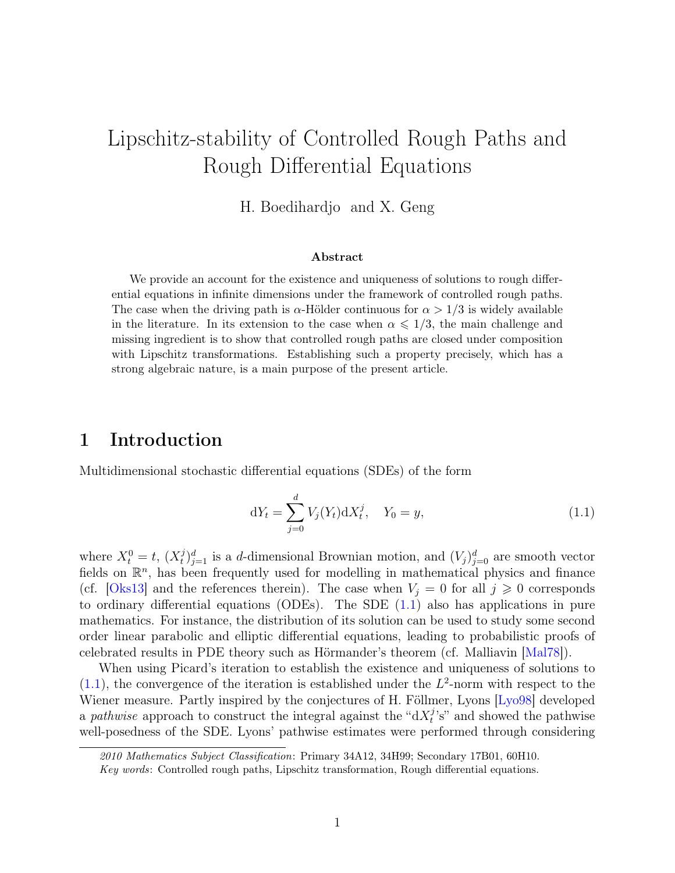# Lipschitz-stability of Controlled Rough Paths and Rough Differential Equations

H. Boedihardjo and X. Geng

#### Abstract

We provide an account for the existence and uniqueness of solutions to rough differential equations in infinite dimensions under the framework of controlled rough paths. The case when the driving path is  $\alpha$ -Hölder continuous for  $\alpha > 1/3$  is widely available in the literature. In its extension to the case when  $\alpha \leq 1/3$ , the main challenge and missing ingredient is to show that controlled rough paths are closed under composition with Lipschitz transformations. Establishing such a property precisely, which has a strong algebraic nature, is a main purpose of the present article.

### 1 Introduction

Multidimensional stochastic differential equations (SDEs) of the form

<span id="page-0-0"></span>
$$
dY_t = \sum_{j=0}^d V_j(Y_t) dX_t^j, \quad Y_0 = y,
$$
\n(1.1)

where  $X_t^0 = t$ ,  $(X_t^j)$  $(t_i)^d_{j=1}$  is a d-dimensional Brownian motion, and  $(V_j)^d_{j=0}$  are smooth vector fields on  $\mathbb{R}^n$ , has been frequently used for modelling in mathematical physics and finance (cf. [\[Oks13\]](#page-31-0) and the references therein). The case when  $V_i = 0$  for all  $j \geq 0$  corresponds to ordinary differential equations (ODEs). The SDE [\(1.1\)](#page-0-0) also has applications in pure mathematics. For instance, the distribution of its solution can be used to study some second order linear parabolic and elliptic differential equations, leading to probabilistic proofs of celebrated results in PDE theory such as Hörmander's theorem (cf. Malliavin [\[Mal78\]](#page-31-1)).

When using Picard's iteration to establish the existence and uniqueness of solutions to  $(1.1)$ , the convergence of the iteration is established under the  $L^2$ -norm with respect to the Wiener measure. Partly inspired by the conjectures of H. Föllmer, Lyons [\[Lyo98\]](#page-31-2) developed a pathwise approach to construct the integral against the " $dX_t^j$ "  $t_i^j$ 's" and showed the pathwise well-posedness of the SDE. Lyons' pathwise estimates were performed through considering

<sup>2010</sup> Mathematics Subject Classification: Primary 34A12, 34H99; Secondary 17B01, 60H10.

Key words: Controlled rough paths, Lipschitz transformation, Rough differential equations.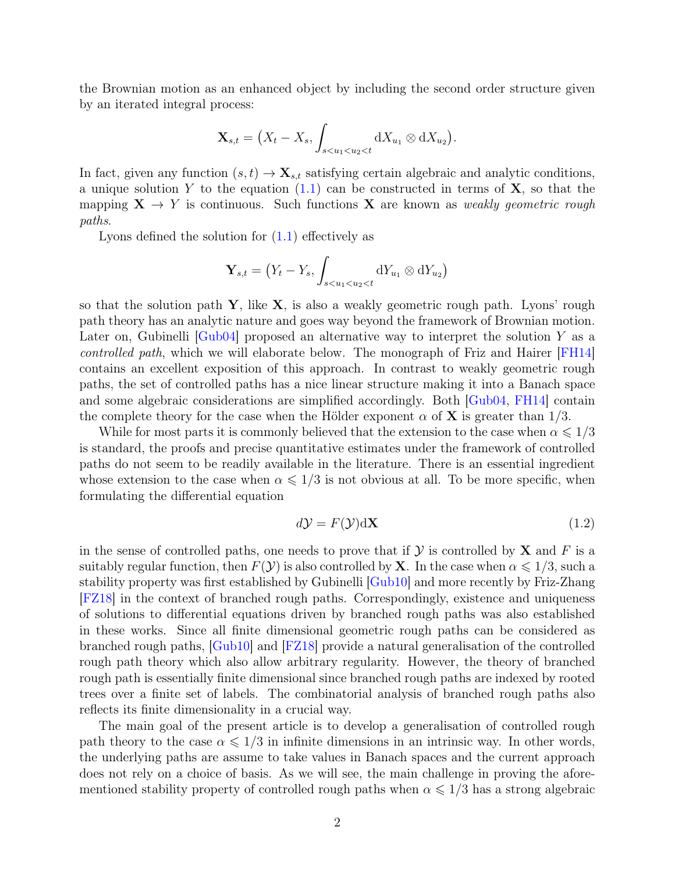the Brownian motion as an enhanced object by including the second order structure given by an iterated integral process:

$$
\mathbf{X}_{s,t} = \left(X_t - X_s, \int_{s < u_1 < u_2 < t} dX_{u_1} \otimes dX_{u_2}\right).
$$

In fact, given any function  $(s, t) \to \mathbf{X}_{s,t}$  satisfying certain algebraic and analytic conditions, a unique solution Y to the equation  $(1.1)$  can be constructed in terms of **X**, so that the mapping  $X \to Y$  is continuous. Such functions X are known as weakly geometric rough paths.

Lyons defined the solution for  $(1.1)$  effectively as

$$
\mathbf{Y}_{s,t} = (Y_t - Y_s, \int_{s < u_1 < u_2 < t} \mathrm{d}Y_{u_1} \otimes \mathrm{d}Y_{u_2})
$$

so that the solution path  $Y$ , like  $X$ , is also a weakly geometric rough path. Lyons' rough path theory has an analytic nature and goes way beyond the framework of Brownian motion. Later on, Gubinelli  $\lvert \text{Gub04} \rvert$  proposed an alternative way to interpret the solution Y as a controlled path, which we will elaborate below. The monograph of Friz and Hairer [\[FH14\]](#page-31-3) contains an excellent exposition of this approach. In contrast to weakly geometric rough paths, the set of controlled paths has a nice linear structure making it into a Banach space and some algebraic considerations are simplified accordingly. Both [\[Gub04,](#page-30-0) [FH14\]](#page-31-3) contain the complete theory for the case when the Hölder exponent  $\alpha$  of **X** is greater than 1/3.

While for most parts it is commonly believed that the extension to the case when  $\alpha \leq 1/3$ is standard, the proofs and precise quantitative estimates under the framework of controlled paths do not seem to be readily available in the literature. There is an essential ingredient whose extension to the case when  $\alpha \leq 1/3$  is not obvious at all. To be more specific, when formulating the differential equation

<span id="page-1-0"></span>
$$
d\mathcal{Y} = F(\mathcal{Y})d\mathbf{X} \tag{1.2}
$$

in the sense of controlled paths, one needs to prove that if  $\mathcal Y$  is controlled by  $X$  and F is a suitably regular function, then  $F(\mathcal{Y})$  is also controlled by **X**. In the case when  $\alpha \leq 1/3$ , such a stability property was first established by Gubinelli [\[Gub10\]](#page-31-4) and more recently by Friz-Zhang [\[FZ18\]](#page-31-5) in the context of branched rough paths. Correspondingly, existence and uniqueness of solutions to differential equations driven by branched rough paths was also established in these works. Since all finite dimensional geometric rough paths can be considered as branched rough paths, [\[Gub10\]](#page-31-4) and [\[FZ18\]](#page-31-5) provide a natural generalisation of the controlled rough path theory which also allow arbitrary regularity. However, the theory of branched rough path is essentially finite dimensional since branched rough paths are indexed by rooted trees over a finite set of labels. The combinatorial analysis of branched rough paths also reflects its finite dimensionality in a crucial way.

The main goal of the present article is to develop a generalisation of controlled rough path theory to the case  $\alpha \leq 1/3$  in infinite dimensions in an intrinsic way. In other words, the underlying paths are assume to take values in Banach spaces and the current approach does not rely on a choice of basis. As we will see, the main challenge in proving the aforementioned stability property of controlled rough paths when  $\alpha \leq 1/3$  has a strong algebraic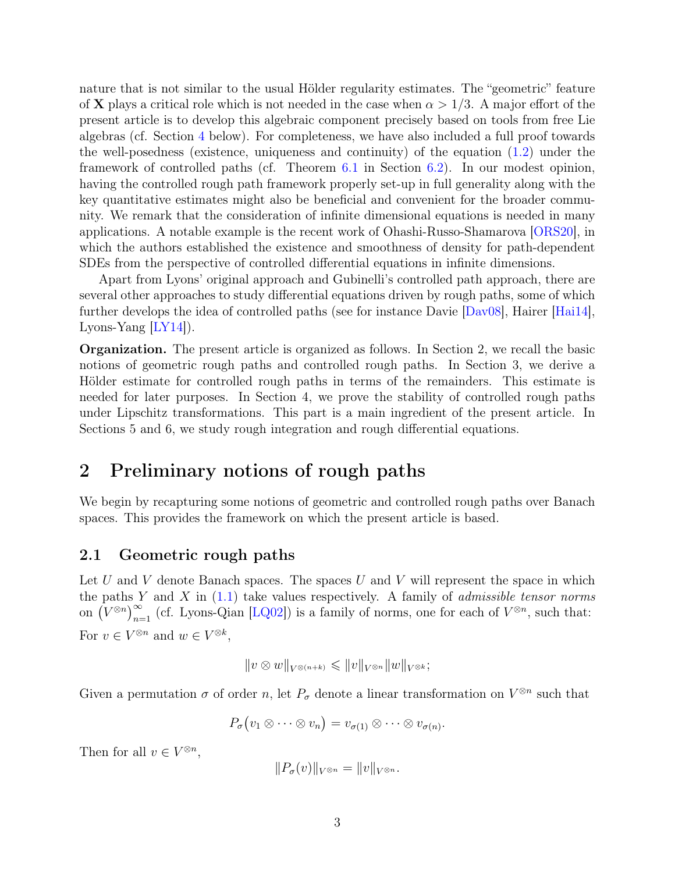nature that is not similar to the usual Hölder regularity estimates. The "geometric" feature of **X** plays a critical role which is not needed in the case when  $\alpha > 1/3$ . A major effort of the present article is to develop this algebraic component precisely based on tools from free Lie algebras (cf. Section [4](#page-7-0) below). For completeness, we have also included a full proof towards the well-posedness (existence, uniqueness and continuity) of the equation [\(1.2\)](#page-1-0) under the framework of controlled paths (cf. Theorem [6.1](#page-23-0) in Section [6.2\)](#page-23-1). In our modest opinion, having the controlled rough path framework properly set-up in full generality along with the key quantitative estimates might also be beneficial and convenient for the broader community. We remark that the consideration of infinite dimensional equations is needed in many applications. A notable example is the recent work of Ohashi-Russo-Shamarova [\[ORS20\]](#page-31-6), in which the authors established the existence and smoothness of density for path-dependent SDEs from the perspective of controlled differential equations in infinite dimensions.

Apart from Lyons' original approach and Gubinelli's controlled path approach, there are several other approaches to study differential equations driven by rough paths, some of which further develops the idea of controlled paths (see for instance Davie [\[Dav08\]](#page-30-1), Hairer [\[Hai14\]](#page-31-7), Lyons-Yang  $[LY14]$ ).

Organization. The present article is organized as follows. In Section 2, we recall the basic notions of geometric rough paths and controlled rough paths. In Section 3, we derive a Hölder estimate for controlled rough paths in terms of the remainders. This estimate is needed for later purposes. In Section 4, we prove the stability of controlled rough paths under Lipschitz transformations. This part is a main ingredient of the present article. In Sections 5 and 6, we study rough integration and rough differential equations.

### 2 Preliminary notions of rough paths

We begin by recapturing some notions of geometric and controlled rough paths over Banach spaces. This provides the framework on which the present article is based.

### <span id="page-2-0"></span>2.1 Geometric rough paths

Let U and V denote Banach spaces. The spaces U and V will represent the space in which the paths Y and X in  $(1.1)$  take values respectively. A family of *admissible tensor norms* on  $(V^{\otimes n})_{n=1}^{\infty}$  (cf. Lyons-Qian [\[LQ02\]](#page-31-9)) is a family of norms, one for each of  $V^{\otimes n}$ , such that: For  $v \in V^{\otimes n}$  and  $w \in V^{\otimes k}$ ,

$$
||v \otimes w||_{V^{\otimes (n+k)}} \leqslant ||v||_{V^{\otimes n}} ||w||_{V^{\otimes k}};
$$

Given a permutation  $\sigma$  of order n, let  $P_{\sigma}$  denote a linear transformation on  $V^{\otimes n}$  such that

$$
P_{\sigma}(v_1 \otimes \cdots \otimes v_n) = v_{\sigma(1)} \otimes \cdots \otimes v_{\sigma(n)}.
$$

Then for all  $v \in V^{\otimes n}$ ,

$$
||P_{\sigma}(v)||_{V^{\otimes n}} = ||v||_{V^{\otimes n}}.
$$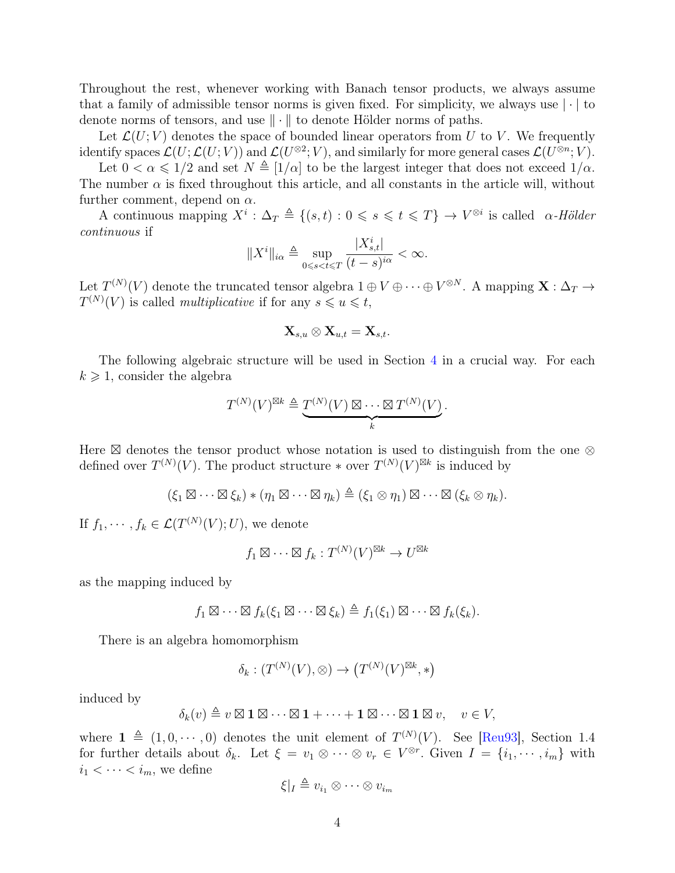Throughout the rest, whenever working with Banach tensor products, we always assume that a family of admissible tensor norms is given fixed. For simplicity, we always use  $|\cdot|$  to denote norms of tensors, and use  $\|\cdot\|$  to denote Hölder norms of paths.

Let  $\mathcal{L}(U; V)$  denotes the space of bounded linear operators from U to V. We frequently identify spaces  $\mathcal{L}(U;\mathcal{L}(U;V))$  and  $\mathcal{L}(U^{\otimes 2};V)$ , and similarly for more general cases  $\mathcal{L}(U^{\otimes n};V)$ .

Let  $0 < \alpha \leq 1/2$  and set  $N \triangleq [1/\alpha]$  to be the largest integer that does not exceed  $1/\alpha$ . The number  $\alpha$  is fixed throughout this article, and all constants in the article will, without further comment, depend on  $\alpha$ .

A continuous mapping  $X^i$ :  $\Delta_T \triangleq \{(s, t) : 0 \leq s \leq t \leq T\} \rightarrow V^{\otimes i}$  is called  $\alpha$ -Hölder continuous if

$$
||X^i||_{i\alpha} \triangleq \sup_{0 \leq s < t \leq T} \frac{|X^i_{s,t}|}{(t-s)^{i\alpha}} < \infty.
$$

Let  $T^{(N)}(V)$  denote the truncated tensor algebra  $1 \oplus V \oplus \cdots \oplus V^{\otimes N}$ . A mapping  $\mathbf{X}: \Delta_T \to$  $T^{(N)}(V)$  is called *multiplicative* if for any  $s \leq u \leq t$ ,

$$
\mathbf{X}_{s,u}\otimes \mathbf{X}_{u,t}=\mathbf{X}_{s,t}.
$$

The following algebraic structure will be used in Section [4](#page-7-0) in a crucial way. For each  $k \geq 1$ , consider the algebra

$$
T^{(N)}(V)^{\boxtimes k} \triangleq \underbrace{T^{(N)}(V) \boxtimes \cdots \boxtimes T^{(N)}(V)}_{k}.
$$

Here  $\boxtimes$  denotes the tensor product whose notation is used to distinguish from the one  $\otimes$ defined over  $T^{(N)}(V)$ . The product structure  $*$  over  $T^{(N)}(V)^{\boxtimes k}$  is induced by

$$
(\xi_1 \boxtimes \cdots \boxtimes \xi_k) * (\eta_1 \boxtimes \cdots \boxtimes \eta_k) \triangleq (\xi_1 \otimes \eta_1) \boxtimes \cdots \boxtimes (\xi_k \otimes \eta_k).
$$

If  $f_1, \dots, f_k \in \mathcal{L}(T^{(N)}(V); U)$ , we denote

$$
f_1 \boxtimes \cdots \boxtimes f_k : T^{(N)}(V)^{\boxtimes k} \to U^{\boxtimes k}
$$

as the mapping induced by

$$
f_1 \boxtimes \cdots \boxtimes f_k(\xi_1 \boxtimes \cdots \boxtimes \xi_k) \triangleq f_1(\xi_1) \boxtimes \cdots \boxtimes f_k(\xi_k).
$$

There is an algebra homomorphism

$$
\delta_k: (T^{(N)}(V),\otimes) \to (T^{(N)}(V)^{\boxtimes k},\ast)
$$

induced by

$$
\delta_k(v) \triangleq v \boxtimes \mathbf{1} \boxtimes \cdots \boxtimes \mathbf{1} + \cdots + \mathbf{1} \boxtimes \cdots \boxtimes \mathbf{1} \boxtimes v, \quad v \in V,
$$

where  $\mathbf{1} \triangleq (1, 0, \dots, 0)$  denotes the unit element of  $T^{(N)}(V)$ . See [\[Reu93\]](#page-31-10), Section 1.4 for further details about  $\delta_k$ . Let  $\xi = v_1 \otimes \cdots \otimes v_r \in V^{\otimes r}$ . Given  $I = \{i_1, \dots, i_m\}$  with  $i_1 < \cdots < i_m$ , we define

$$
\xi|_{I} \triangleq v_{i_1} \otimes \cdots \otimes v_{i_m}
$$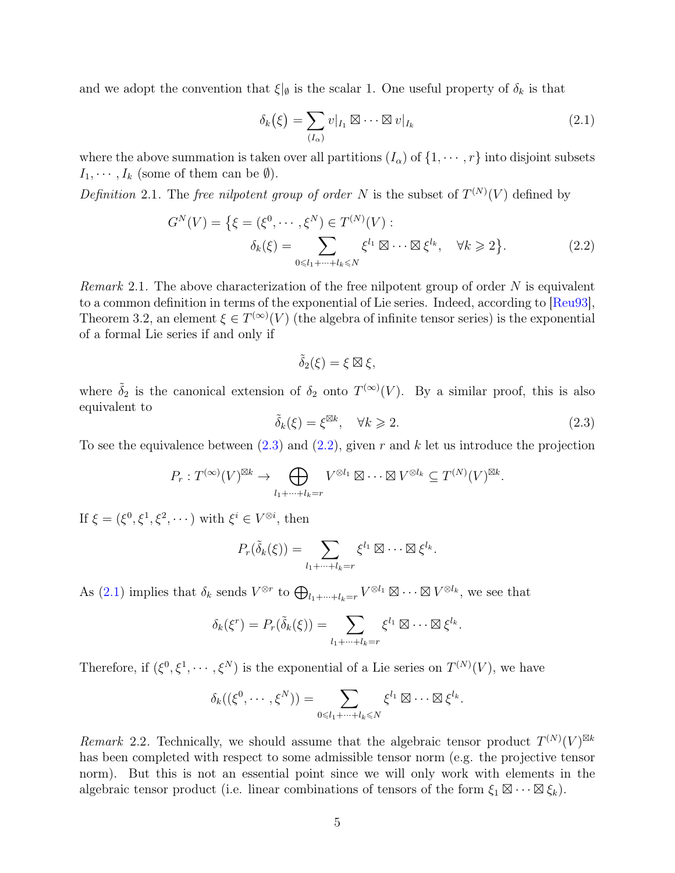and we adopt the convention that  $\xi|_{\emptyset}$  is the scalar 1. One useful property of  $\delta_k$  is that

<span id="page-4-2"></span>
$$
\delta_k(\xi) = \sum_{(I_\alpha)} v|_{I_1} \boxtimes \cdots \boxtimes v|_{I_k} \tag{2.1}
$$

where the above summation is taken over all partitions  $(I_{\alpha})$  of  $\{1, \dots, r\}$  into disjoint subsets  $I_1, \cdots, I_k$  (some of them can be  $\emptyset$ ).

Definition 2.1. The free nilpotent group of order N is the subset of  $T^{(N)}(V)$  defined by

$$
G^{N}(V) = \{ \xi = (\xi^{0}, \cdots, \xi^{N}) \in T^{(N)}(V) : \\ \delta_{k}(\xi) = \sum_{0 \le l_{1} + \cdots + l_{k} \le N} \xi^{l_{1}} \boxtimes \cdots \boxtimes \xi^{l_{k}}, \quad \forall k \ge 2 \}.
$$
 (2.2)

*Remark* 2.1. The above characterization of the free nilpotent group of order  $N$  is equivalent to a common definition in terms of the exponential of Lie series. Indeed, according to [\[Reu93\]](#page-31-10), Theorem 3.2, an element  $\xi \in T^{(\infty)}(V)$  (the algebra of infinite tensor series) is the exponential of a formal Lie series if and only if

<span id="page-4-1"></span>
$$
\tilde{\delta}_2(\xi) = \xi \boxtimes \xi,
$$

where  $\tilde{\delta}_2$  is the canonical extension of  $\delta_2$  onto  $T^{(\infty)}(V)$ . By a similar proof, this is also equivalent to

<span id="page-4-0"></span>
$$
\tilde{\delta}_k(\xi) = \xi^{\boxtimes k}, \quad \forall k \geqslant 2. \tag{2.3}
$$

To see the equivalence between  $(2.3)$  and  $(2.2)$ , given r and k let us introduce the projection

$$
P_r: T^{(\infty)}(V)^{\boxtimes k} \to \bigoplus_{l_1 + \dots + l_k = r} V^{\otimes l_1} \boxtimes \dots \boxtimes V^{\otimes l_k} \subseteq T^{(N)}(V)^{\boxtimes k}.
$$

If  $\xi = (\xi^0, \xi^1, \xi^2, \cdots)$  with  $\xi^i \in V^{\otimes i}$ , then

$$
P_r(\tilde{\delta}_k(\xi)) = \sum_{l_1 + \dots + l_k = r} \xi^{l_1} \boxtimes \dots \boxtimes \xi^{l_k}.
$$

As [\(2.1\)](#page-4-2) implies that  $\delta_k$  sends  $V^{\otimes r}$  to  $\bigoplus_{l_1+\cdots+l_k=r} V^{\otimes l_1} \boxtimes \cdots \boxtimes V^{\otimes l_k}$ , we see that

$$
\delta_k(\xi^r) = P_r(\tilde{\delta}_k(\xi)) = \sum_{l_1 + \dots + l_k = r} \xi^{l_1} \boxtimes \dots \boxtimes \xi^{l_k}.
$$

Therefore, if  $(\xi^0, \xi^1, \dots, \xi^N)$  is the exponential of a Lie series on  $T^{(N)}(V)$ , we have

$$
\delta_k((\xi^0,\dots,\xi^N))=\sum_{0\leq l_1+\dots+l_k\leq N}\xi^{l_1}\boxtimes\dots\boxtimes\xi^{l_k}.
$$

Remark 2.2. Technically, we should assume that the algebraic tensor product  $T^{(N)}(V)^{\boxtimes k}$ has been completed with respect to some admissible tensor norm (e.g. the projective tensor norm). But this is not an essential point since we will only work with elements in the algebraic tensor product (i.e. linear combinations of tensors of the form  $\xi_1 \boxtimes \cdots \boxtimes \xi_k$ ).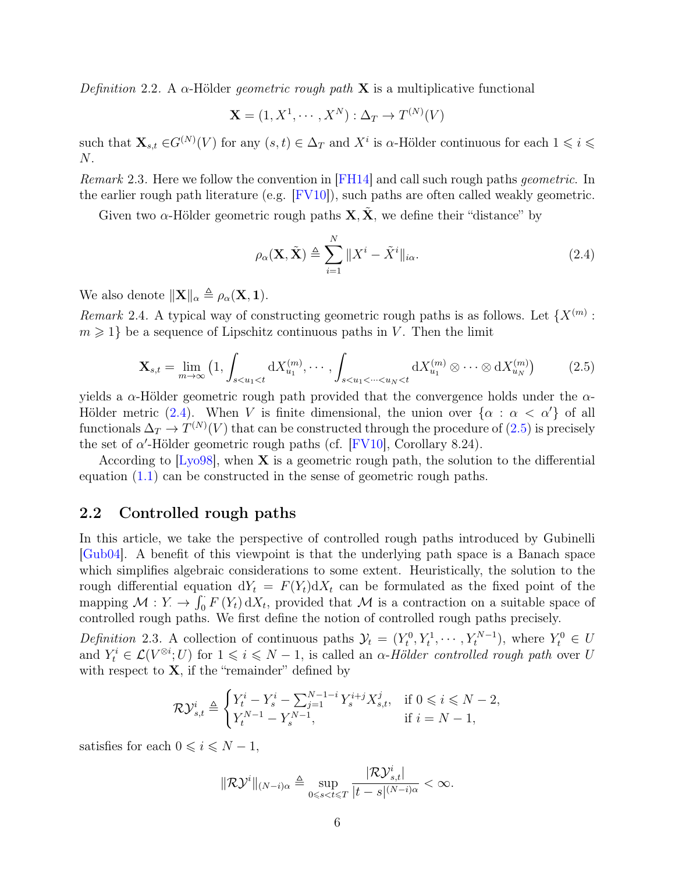Definition 2.2. A  $\alpha$ -Hölder *geometric rough path* **X** is a multiplicative functional

$$
\mathbf{X} = (1, X^1, \cdots, X^N) : \Delta_T \to T^{(N)}(V)
$$

such that  $\mathbf{X}_{s,t} \in G^{(N)}(V)$  for any  $(s,t) \in \Delta_T$  and  $X^i$  is  $\alpha$ -Hölder continuous for each  $1 \leqslant i \leqslant n$ N.

Remark 2.3. Here we follow the convention in [\[FH14\]](#page-31-3) and call such rough paths *geometric*. In the earlier rough path literature (e.g.  $[FW10]$ ), such paths are often called weakly geometric.

Given two  $\alpha$ -Hölder geometric rough paths  $\mathbf{X}, \tilde{\mathbf{X}}$ , we define their "distance" by

<span id="page-5-0"></span>
$$
\rho_{\alpha}(\mathbf{X}, \tilde{\mathbf{X}}) \triangleq \sum_{i=1}^{N} ||X^{i} - \tilde{X}^{i}||_{i\alpha}.
$$
\n(2.4)

We also denote  $\|\mathbf{X}\|_{\alpha} \triangleq \rho_{\alpha}(\mathbf{X}, \mathbf{1}).$ 

Remark 2.4. A typical way of constructing geometric rough paths is as follows. Let  $\{X^{(m)}:$  $m \geqslant 1$  be a sequence of Lipschitz continuous paths in V. Then the limit

<span id="page-5-1"></span>
$$
\mathbf{X}_{s,t} = \lim_{m \to \infty} \left( 1, \int_{s < u_1 < t} \mathrm{d}X_{u_1}^{(m)}, \cdots, \int_{s < u_1 < \cdots < u_N < t} \mathrm{d}X_{u_1}^{(m)} \otimes \cdots \otimes \mathrm{d}X_{u_N}^{(m)} \right) \tag{2.5}
$$

yields a  $\alpha$ -Hölder geometric rough path provided that the convergence holds under the  $\alpha$ -Hölder metric [\(2.4\)](#page-5-0). When V is finite dimensional, the union over  $\{\alpha : \alpha < \alpha'\}$  of all functionals  $\Delta_T \to T^{(N)}(V)$  that can be constructed through the procedure of  $(2.5)$  is precisely the set of  $\alpha'$ -Hölder geometric rough paths (cf. [\[FV10\]](#page-30-2), Corollary 8.24).

According to  $[Ly098]$ , when **X** is a geometric rough path, the solution to the differential equation [\(1.1\)](#page-0-0) can be constructed in the sense of geometric rough paths.

#### 2.2 Controlled rough paths

In this article, we take the perspective of controlled rough paths introduced by Gubinelli [\[Gub04\]](#page-30-0). A benefit of this viewpoint is that the underlying path space is a Banach space which simplifies algebraic considerations to some extent. Heuristically, the solution to the rough differential equation  $dY_t = F(Y_t)dX_t$  can be formulated as the fixed point of the mapping  $\mathcal{M}: Y \to \int_0^{\cdot} F(Y_t) dX_t$ , provided that  $\mathcal M$  is a contraction on a suitable space of controlled rough paths. We first define the notion of controlled rough paths precisely.

<span id="page-5-2"></span>Definition 2.3. A collection of continuous paths  $\mathcal{Y}_t = (Y_t^0, Y_t^1, \dots, Y_t^{N-1})$ , where  $Y_t^0 \in U$ and  $Y_t^i \in \mathcal{L}(V^{\otimes i}; U)$  for  $1 \leq i \leq N-1$ , is called an  $\alpha$ -Hölder controlled rough path over U with respect to  $X$ , if the "remainder" defined by

$$
\mathcal{RV}_{s,t}^i \triangleq \begin{cases} Y_t^i - Y_s^i - \sum_{j=1}^{N-1-i} Y_s^{i+j} X_{s,t}^j, & \text{if } 0 \leqslant i \leqslant N-2, \\ Y_t^{N-1} - Y_s^{N-1}, & \text{if } i = N-1, \end{cases}
$$

satisfies for each  $0 \leq i \leq N - 1$ ,

$$
\|\mathcal{R}\mathcal{Y}^i\|_{(N-i)\alpha} \triangleq \sup_{0 \leq s < t \leq T} \frac{|\mathcal{R}\mathcal{Y}^i_{s,t}|}{|t-s|^{(N-i)\alpha}} < \infty.
$$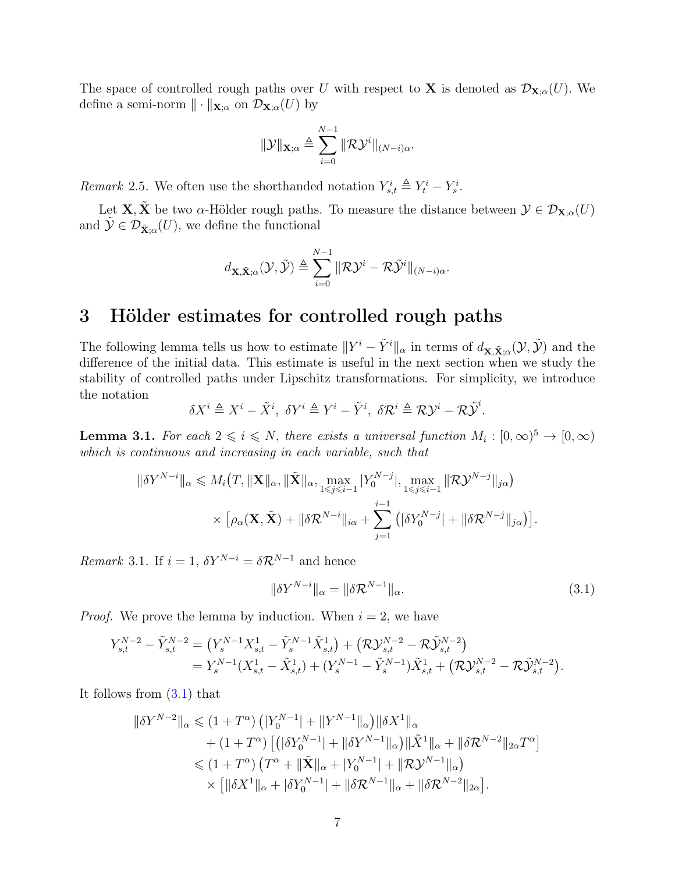The space of controlled rough paths over U with respect to **X** is denoted as  $\mathcal{D}_{\mathbf{X};\alpha}(U)$ . We define a semi-norm  $\|\cdot\|_{\mathbf{X};\alpha}$  on  $\mathcal{D}_{\mathbf{X};\alpha}(U)$  by

$$
\|\mathcal{Y}\|_{\mathbf{X};\alpha} \triangleq \sum_{i=0}^{N-1} \|\mathcal{R}\mathcal{Y}^i\|_{(N-i)\alpha}.
$$

Remark 2.5. We often use the shorthanded notation  $Y_{s,t}^i \triangleq Y_t^i - Y_s^i$ .

Let **X**,  $\tilde{\mathbf{X}}$  be two  $\alpha$ -Hölder rough paths. To measure the distance between  $\mathcal{Y} \in \mathcal{D}_{\mathbf{X};\alpha}(U)$ and  $\tilde{\mathcal{Y}} \in \mathcal{D}_{\tilde{\mathbf{X}}; \alpha}(U)$ , we define the functional

$$
d_{\mathbf{X}, \tilde{\mathbf{X}}; \alpha}(\mathcal{Y}, \tilde{\mathcal{Y}}) \triangleq \sum_{i=0}^{N-1} \|\mathcal{R}\mathcal{Y}^{i} - \mathcal{R}\tilde{\mathcal{Y}}^{i}\|_{(N-i)\alpha}.
$$

### 3 Hölder estimates for controlled rough paths

The following lemma tells us how to estimate  $||Y^i - \tilde{Y}^i||_{\alpha}$  in terms of  $d_{\mathbf{X}, \tilde{\mathbf{X}}; \alpha}(\mathcal{Y}, \tilde{\mathcal{Y}})$  and the difference of the initial data. This estimate is useful in the next section when we study the stability of controlled paths under Lipschitz transformations. For simplicity, we introduce the notation

$$
\delta X^i \triangleq X^i - \tilde{X}^i, \ \delta Y^i \triangleq Y^i - \tilde{Y}^i, \ \delta \mathcal{R}^i \triangleq \mathcal{R} \mathcal{Y}^i - \mathcal{R} \tilde{\mathcal{Y}}^i.
$$

<span id="page-6-1"></span>**Lemma 3.1.** For each  $2 \leq i \leq N$ , there exists a universal function  $M_i : [0, \infty)^5 \to [0, \infty)$ which is continuous and increasing in each variable, such that

$$
\|\delta Y^{N-i}\|_{\alpha} \leq M_i(T, \|\mathbf{X}\|_{\alpha}, \|\tilde{\mathbf{X}}\|_{\alpha}, \max_{1 \leq j \leq i-1} |Y_0^{N-j}|, \max_{1 \leq j \leq i-1} \|\mathcal{R} \mathcal{Y}^{N-j}\|_{j\alpha})
$$

$$
\times \left[ \rho_\alpha(\mathbf{X}, \tilde{\mathbf{X}}) + \|\delta \mathcal{R}^{N-i}\|_{i\alpha} + \sum_{j=1}^{i-1} \left( |\delta Y_0^{N-j}| + \|\delta \mathcal{R}^{N-j}\|_{j\alpha} \right) \right].
$$

*Remark* 3.1. If  $i = 1$ ,  $\delta Y^{N-i} = \delta \mathcal{R}^{N-1}$  and hence

<span id="page-6-0"></span>
$$
\|\delta Y^{N-i}\|_{\alpha} = \|\delta \mathcal{R}^{N-1}\|_{\alpha}.\tag{3.1}
$$

*Proof.* We prove the lemma by induction. When  $i = 2$ , we have

$$
\begin{split} Y_{s,t}^{N-2} - \tilde{Y}_{s,t}^{N-2} &= \left( Y_s^{N-1} X_{s,t}^1 - \tilde{Y}_s^{N-1} \tilde{X}_{s,t}^1 \right) + \left( \mathcal{R} \mathcal{Y}_{s,t}^{N-2} - \mathcal{R} \tilde{\mathcal{Y}}_{s,t}^{N-2} \right) \\ &= Y_s^{N-1} (X_{s,t}^1 - \tilde{X}_{s,t}^1) + (Y_s^{N-1} - \tilde{Y}_s^{N-1}) \tilde{X}_{s,t}^1 + \left( \mathcal{R} \mathcal{Y}_{s,t}^{N-2} - \mathcal{R} \tilde{\mathcal{Y}}_{s,t}^{N-2} \right). \end{split}
$$

It follows from [\(3.1\)](#page-6-0) that

$$
\|\delta Y^{N-2}\|_{\alpha} \leq (1+T^{\alpha}) \left( |Y_0^{N-1}| + \|Y^{N-1}\|_{\alpha} \right) \|\delta X^1\|_{\alpha} + (1+T^{\alpha}) \left[ \left( |\delta Y_0^{N-1}| + ||\delta Y^{N-1}\|_{\alpha} \right) \|\tilde{X}^1\|_{\alpha} + \|\delta \mathcal{R}^{N-2}\|_{2\alpha} T^{\alpha} \right] \leq (1+T^{\alpha}) \left( T^{\alpha} + \|\tilde{\mathbf{X}}\|_{\alpha} + |Y_0^{N-1}| + \|\mathcal{R} \mathcal{Y}^{N-1}\|_{\alpha} \right) \times \left[ \|\delta X^1\|_{\alpha} + |\delta Y_0^{N-1}| + \|\delta \mathcal{R}^{N-1}\|_{\alpha} + \|\delta \mathcal{R}^{N-2}\|_{2\alpha} \right].
$$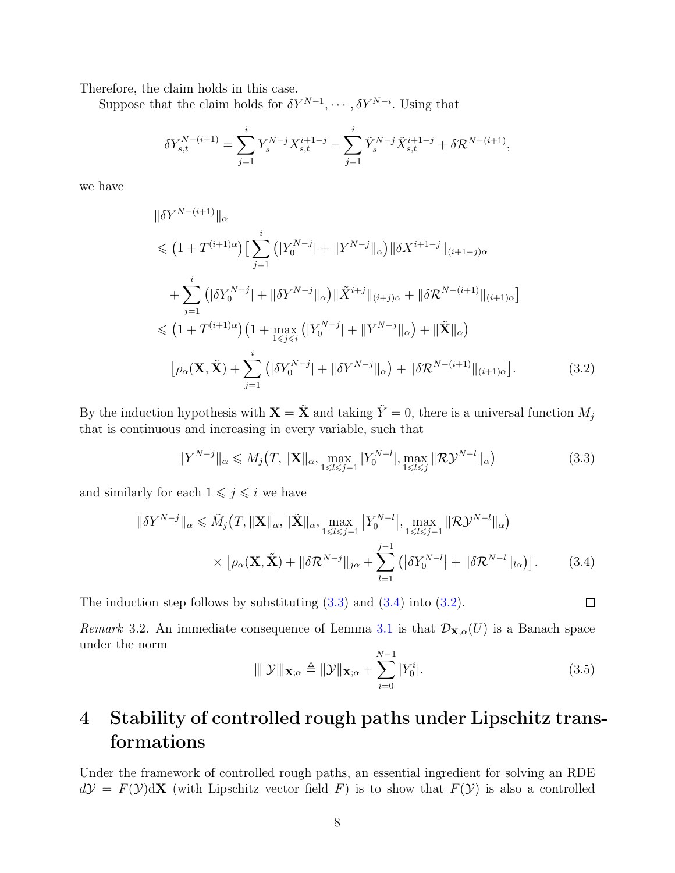Therefore, the claim holds in this case.

Suppose that the claim holds for  $\delta Y^{N-1}, \cdots, \delta Y^{N-i}$ . Using that

$$
\delta Y_{s,t}^{N-(i+1)} = \sum_{j=1}^i Y_s^{N-j} X_{s,t}^{i+1-j} - \sum_{j=1}^i \tilde{Y}_s^{N-j} \tilde{X}_{s,t}^{i+1-j} + \delta \mathcal{R}^{N-(i+1)},
$$

we have

$$
\|\delta Y^{N-(i+1)}\|_{\alpha} \n\leq (1+T^{(i+1)\alpha}) \Big[\sum_{j=1}^{i} (|Y_{0}^{N-j}| + \|Y^{N-j}\|_{\alpha}) \|\delta X^{i+1-j}\|_{(i+1-j)\alpha} \n+ \sum_{j=1}^{i} (|\delta Y_{0}^{N-j}| + \|\delta Y^{N-j}\|_{\alpha}) \|\tilde{X}^{i+j}\|_{(i+j)\alpha} + \|\delta \mathcal{R}^{N-(i+1)}\|_{(i+1)\alpha} \n\leq (1+T^{(i+1)\alpha}) \Big(1 + \max_{1 \leq j \leq i} (|Y_{0}^{N-j}| + \|Y^{N-j}\|_{\alpha}) + \|\tilde{X}\|_{\alpha}\Big) \n\Big[\rho_{\alpha}(\mathbf{X}, \tilde{\mathbf{X}}) + \sum_{j=1}^{i} (|\delta Y_{0}^{N-j}| + \|\delta Y^{N-j}\|_{\alpha}) + \|\delta \mathcal{R}^{N-(i+1)}\|_{(i+1)\alpha}\Big].
$$
\n(3.2)

By the induction hypothesis with  $\mathbf{X} = \tilde{\mathbf{X}}$  and taking  $\tilde{Y} = 0$ , there is a universal function  $M_j$ that is continuous and increasing in every variable, such that

<span id="page-7-1"></span>
$$
||Y^{N-j}||_{\alpha} \le M_j(T, ||\mathbf{X}||_{\alpha}, \max_{1 \le l \le j-1} |Y_0^{N-l}|, \max_{1 \le l \le j} ||\mathcal{RV}^{N-l}||_{\alpha})
$$
\n(3.3)

and similarly for each  $1 \leqslant j \leqslant i$  we have

$$
\|\delta Y^{N-j}\|_{\alpha} \leqslant \tilde{M}_j(T, \|\mathbf{X}\|_{\alpha}, \|\tilde{\mathbf{X}}\|_{\alpha}, \max_{1 \leqslant l \leqslant j-1} |Y_0^{N-l}|, \max_{1 \leqslant l \leqslant j-1} \|\mathcal{R} \mathcal{Y}^{N-l}\|_{\alpha})
$$

$$
\times \left[ \rho_\alpha(\mathbf{X}, \tilde{\mathbf{X}}) + \|\delta \mathcal{R}^{N-j}\|_{j\alpha} + \sum_{l=1}^{j-1} \left( \|\delta Y_0^{N-l}\| + \|\delta \mathcal{R}^{N-l}\|_{l\alpha} \right) \right]. \tag{3.4}
$$

The induction step follows by substituting  $(3.3)$  and  $(3.4)$  into  $(3.2)$ .

Remark 3.2. An immediate consequence of Lemma [3.1](#page-6-1) is that  $\mathcal{D}_{\mathbf{X};\alpha}(U)$  is a Banach space under the norm

<span id="page-7-4"></span>
$$
\|\mathcal{Y}\|_{\mathbf{X};\alpha} \triangleq \|\mathcal{Y}\|_{\mathbf{X};\alpha} + \sum_{i=0}^{N-1} |Y_0^i|.
$$
\n(3.5)

<span id="page-7-3"></span><span id="page-7-2"></span> $\Box$ 

## <span id="page-7-0"></span>4 Stability of controlled rough paths under Lipschitz transformations

Under the framework of controlled rough paths, an essential ingredient for solving an RDE  $d\mathcal{Y} = F(\mathcal{Y})d\mathbf{X}$  (with Lipschitz vector field F) is to show that  $F(\mathcal{Y})$  is also a controlled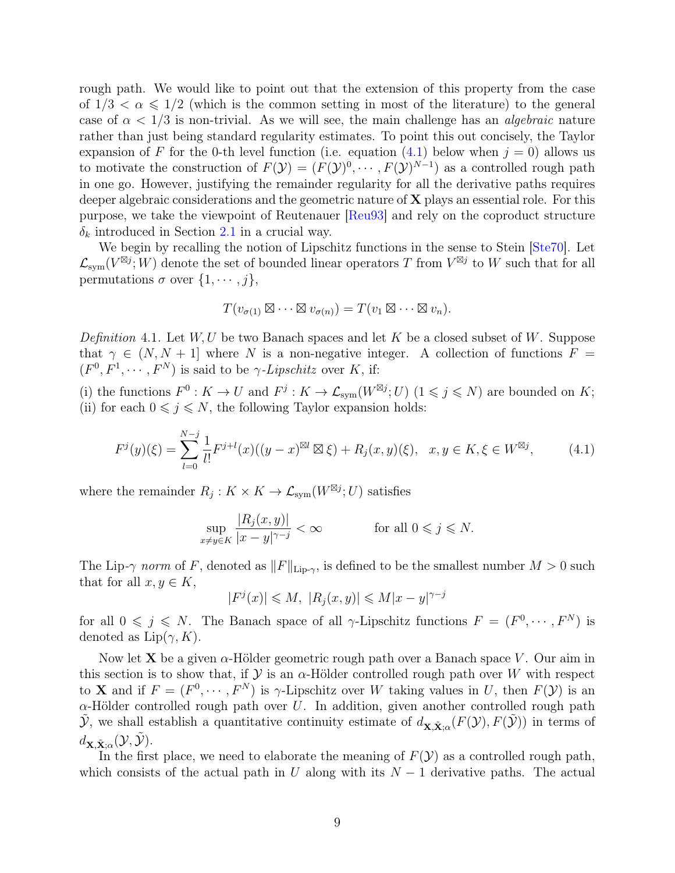rough path. We would like to point out that the extension of this property from the case of  $1/3 < \alpha \leq 1/2$  (which is the common setting in most of the literature) to the general case of  $\alpha < 1/3$  is non-trivial. As we will see, the main challenge has an *algebraic* nature rather than just being standard regularity estimates. To point this out concisely, the Taylor expansion of F for the 0-th level function (i.e. equation [\(4.1\)](#page-8-0) below when  $j = 0$ ) allows us to motivate the construction of  $F(\mathcal{Y}) = (F(\mathcal{Y})^0, \cdots, F(\mathcal{Y})^{N-1})$  as a controlled rough path in one go. However, justifying the remainder regularity for all the derivative paths requires deeper algebraic considerations and the geometric nature of  $X$  plays an essential role. For this purpose, we take the viewpoint of Reutenauer [\[Reu93\]](#page-31-10) and rely on the coproduct structure  $\delta_k$  introduced in Section [2.1](#page-2-0) in a crucial way.

We begin by recalling the notion of Lipschitz functions in the sense to Stein [\[Ste70\]](#page-31-11). Let  $\mathcal{L}_{sym}(V^{\boxtimes j}; W)$  denote the set of bounded linear operators T from  $V^{\boxtimes j}$  to W such that for all permutations  $\sigma$  over  $\{1, \cdots, j\},\$ 

$$
T(v_{\sigma(1)} \boxtimes \cdots \boxtimes v_{\sigma(n)}) = T(v_1 \boxtimes \cdots \boxtimes v_n).
$$

Definition 4.1. Let  $W, U$  be two Banach spaces and let K be a closed subset of W. Suppose that  $\gamma \in (N, N + 1]$  where N is a non-negative integer. A collection of functions  $F =$  $(F^0, F^1, \dots, F^N)$  is said to be  $\gamma$ -Lipschitz over K, if:

(i) the functions  $F^0: K \to U$  and  $F^j: K \to \mathcal{L}_{sym}(W^{\boxtimes j}; U)$   $(1 \leq j \leq N)$  are bounded on K; (ii) for each  $0 \leq j \leq N$ , the following Taylor expansion holds:

<span id="page-8-0"></span>
$$
F^{j}(y)(\xi) = \sum_{l=0}^{N-j} \frac{1}{l!} F^{j+l}(x)((y-x)^{\boxtimes l} \boxtimes \xi) + R_{j}(x,y)(\xi), \quad x, y \in K, \xi \in W^{\boxtimes j}, \tag{4.1}
$$

where the remainder  $R_j: K \times K \to \mathcal{L}_{sym}(W^{\boxtimes j};U)$  satisfies

$$
\sup_{x \neq y \in K} \frac{|R_j(x, y)|}{|x - y|^{\gamma - j}} < \infty \quad \text{for all } 0 \leq j \leq N.
$$

The Lip- $\gamma$  norm of F, denoted as  $||F||_{\text{Lip-}\gamma}$ , is defined to be the smallest number  $M > 0$  such that for all  $x, y \in K$ ,

$$
|F^{j}(x)| \leqslant M, \ |R_{j}(x, y)| \leqslant M|x - y|^{\gamma - j}
$$

for all  $0 \leq j \leq N$ . The Banach space of all  $\gamma$ -Lipschitz functions  $F = (F^0, \dots, F^N)$  is denoted as  $Lip(\gamma, K)$ .

Now let **X** be a given  $\alpha$ -Hölder geometric rough path over a Banach space V. Our aim in this section is to show that, if  $\mathcal Y$  is an  $\alpha$ -Hölder controlled rough path over W with respect to **X** and if  $F = (F^0, \dots, F^N)$  is  $\gamma$ -Lipschitz over W taking values in U, then  $F(\mathcal{Y})$  is an  $\alpha$ -Hölder controlled rough path over U. In addition, given another controlled rough path  $\tilde{\mathcal{Y}}$ , we shall establish a quantitative continuity estimate of  $d_{\mathbf{X}, \tilde{\mathbf{X}}; \alpha}(F(\mathcal{Y}), F(\tilde{\mathcal{Y}}))$  in terms of  $d_{\mathbf{X}, \tilde{\mathbf{X}}; \alpha}(\mathcal{Y}, \tilde{\mathcal{Y}}).$ 

In the first place, we need to elaborate the meaning of  $F(\mathcal{Y})$  as a controlled rough path, which consists of the actual path in U along with its  $N-1$  derivative paths. The actual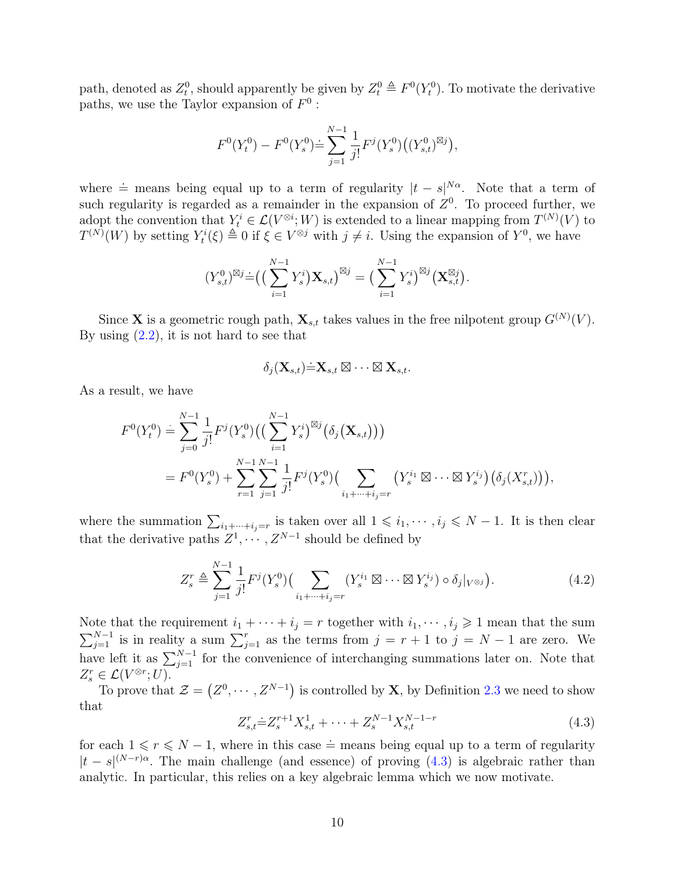path, denoted as  $Z_t^0$ , should apparently be given by  $Z_t^0 \triangleq F^0(Y_t^0)$ . To motivate the derivative paths, we use the Taylor expansion of  $F^0$ :

$$
F^0(Y_t^0) - F^0(Y_s^0) \doteq \sum_{j=1}^{N-1} \frac{1}{j!} F^j(Y_s^0) \big( (Y_{s,t}^0)^{\boxtimes j} \big),
$$

where  $\dot{=}$  means being equal up to a term of regularity  $|t - s|^{N\alpha}$ . Note that a term of such regularity is regarded as a remainder in the expansion of  $Z<sup>0</sup>$ . To proceed further, we adopt the convention that  $Y_t^i \in \mathcal{L}(V^{\otimes i}; W)$  is extended to a linear mapping from  $T^{(N)}(V)$  to  $T^{(N)}(W)$  by setting  $Y_t^i(\xi) \triangleq 0$  if  $\xi \in V^{\otimes j}$  with  $j \neq i$ . Using the expansion of  $Y^0$ , we have

$$
(Y_{s,t}^{0})^{\boxtimes j} \dot{=} ((\sum_{i=1}^{N-1} Y_{s}^{i}) \mathbf{X}_{s,t})^{\boxtimes j} = (\sum_{i=1}^{N-1} Y_{s}^{i})^{\boxtimes j} (\mathbf{X}_{s,t}^{\boxtimes j}).
$$

Since **X** is a geometric rough path,  $\mathbf{X}_{s,t}$  takes values in the free nilpotent group  $G^{(N)}(V)$ . By using  $(2.2)$ , it is not hard to see that

$$
\delta_j(\mathbf{X}_{s,t})\dot{=}\mathbf{X}_{s,t}\boxtimes\cdots\boxtimes\mathbf{X}_{s,t}.
$$

As a result, we have

$$
F^{0}(Y_{t}^{0}) = \sum_{j=0}^{N-1} \frac{1}{j!} F^{j}(Y_{s}^{0}) \left( \left( \sum_{i=1}^{N-1} Y_{s}^{i} \right)^{\boxtimes j} \left( \delta_{j}(\mathbf{X}_{s,t}) \right) \right)
$$
  
= 
$$
F^{0}(Y_{s}^{0}) + \sum_{r=1}^{N-1} \sum_{j=1}^{N-1} \frac{1}{j!} F^{j}(Y_{s}^{0}) \left( \sum_{i_{1}+\dots+i_{j}=r} \left( Y_{s}^{i_{1}} \boxtimes \dots \boxtimes Y_{s}^{i_{j}} \right) \left( \delta_{j}(X_{s,t}^{r}) \right) \right),
$$

where the summation  $\sum_{i_1+\cdots+i_j=r}$  is taken over all  $1\leqslant i_1,\cdots,i_j\leqslant N-1$ . It is then clear that the derivative paths  $Z^1, \cdots, Z^{N-1}$  should be defined by

<span id="page-9-1"></span>
$$
Z_s^r \triangleq \sum_{j=1}^{N-1} \frac{1}{j!} F^j(Y_s^0) \Big( \sum_{i_1 + \dots + i_j = r} (Y_s^{i_1} \boxtimes \dots \boxtimes Y_s^{i_j}) \circ \delta_j|_{V^{\otimes j}} \Big). \tag{4.2}
$$

Note that the requirement  $i_1 + \cdots + i_j = r$  together with  $i_1, \cdots, i_j \geq 1$  mean that the sum  $\sum_{j=1}^{N-1}$  is in reality a sum  $\sum_{j=1}^{r}$  as the terms from  $j = r + 1$  to  $j = N - 1$  are zero. We have left it as  $\sum_{j=1}^{N-1}$  for the convenience of interchanging summations later on. Note that  $Z_s^r \in \mathcal{L}(V^{\otimes r}; U).$ 

To prove that  $\mathcal{Z} = (Z^0, \dots, Z^{N-1})$  is controlled by **X**, by Definition [2.3](#page-5-2) we need to show that

<span id="page-9-0"></span>
$$
Z_{s,t}^r \doteq Z_s^{r+1} X_{s,t}^1 + \dots + Z_s^{N-1} X_{s,t}^{N-1-r}
$$
\n
$$
\tag{4.3}
$$

for each  $1 \le r \le N - 1$ , where in this case  $\dot{=}$  means being equal up to a term of regularity  $|t-s|^{(N-r)\alpha}$ . The main challenge (and essence) of proving [\(4.3\)](#page-9-0) is algebraic rather than analytic. In particular, this relies on a key algebraic lemma which we now motivate.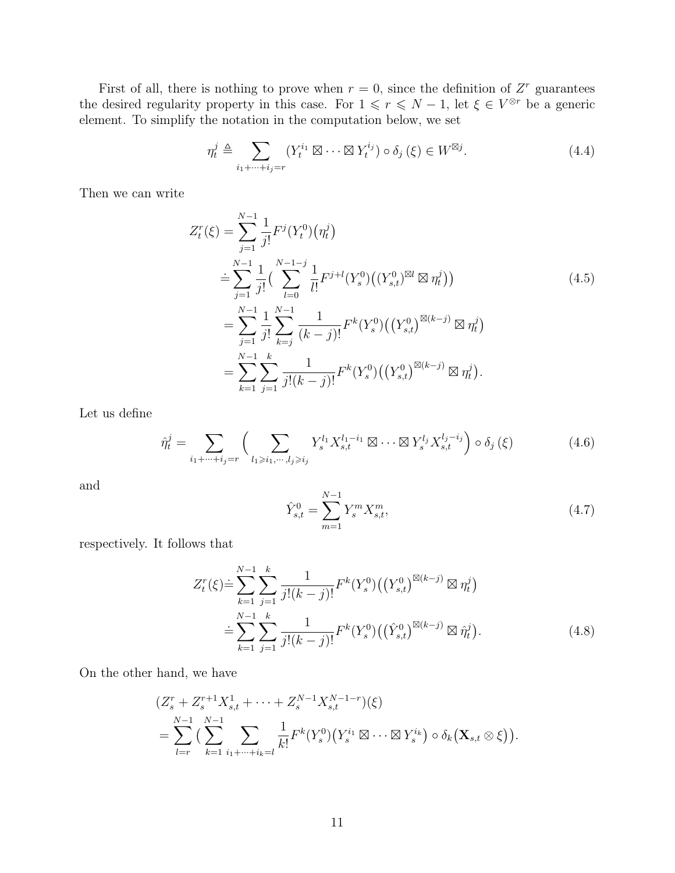First of all, there is nothing to prove when  $r = 0$ , since the definition of  $Z<sup>r</sup>$  guarantees the desired regularity property in this case. For  $1 \leq r \leq N-1$ , let  $\xi \in V^{\otimes r}$  be a generic element. To simplify the notation in the computation below, we set

<span id="page-10-4"></span>
$$
\eta_t^j \triangleq \sum_{i_1 + \dots + i_j = r} (Y_t^{i_1} \boxtimes \dots \boxtimes Y_t^{i_j}) \circ \delta_j (\xi) \in W^{\boxtimes j}.
$$
\n(4.4)

Then we can write

$$
Z_t^r(\xi) = \sum_{j=1}^{N-1} \frac{1}{j!} F^j(Y_t^0) (\eta_t^j)
$$
  
\n
$$
\stackrel{\doteq}{=} \sum_{j=1}^{N-1} \frac{1}{j!} \Big( \sum_{l=0}^{N-1-j} \frac{1}{l!} F^{j+l}(Y_s^0) \big( (Y_{s,t}^0)^{\boxtimes l} \boxtimes \eta_t^j \big) \Big) \qquad (4.5)
$$
  
\n
$$
= \sum_{j=1}^{N-1} \frac{1}{j!} \sum_{k=j}^{N-1} \frac{1}{(k-j)!} F^k(Y_s^0) \big( (Y_{s,t}^0)^{\boxtimes (k-j)} \boxtimes \eta_t^j \big) \qquad (4.5)
$$
  
\n
$$
= \sum_{k=1}^{N-1} \sum_{j=1}^k \frac{1}{j!(k-j)!} F^k(Y_s^0) \big( (Y_{s,t}^0)^{\boxtimes (k-j)} \boxtimes \eta_t^j \big).
$$

Let us define

$$
\hat{\eta}_t^j = \sum_{i_1 + \dots + i_j = r} \left( \sum_{l_1 \geqslant i_1, \dots, l_j \geqslant i_j} Y_s^{l_1} X_{s,t}^{l_1 - i_1} \boxtimes \dots \boxtimes Y_s^{l_j} X_{s,t}^{l_j - i_j} \right) \circ \delta_j \left( \xi \right) \tag{4.6}
$$

and

<span id="page-10-3"></span><span id="page-10-2"></span><span id="page-10-1"></span><span id="page-10-0"></span>
$$
\hat{Y}_{s,t}^{0} = \sum_{m=1}^{N-1} Y_s^m X_{s,t}^m,
$$
\n(4.7)

respectively. It follows that

$$
Z_t^r(\xi) \doteq \sum_{k=1}^{N-1} \sum_{j=1}^k \frac{1}{j!(k-j)!} F^k(Y_s^0) \left( \left( Y_{s,t}^0 \right)^{\boxtimes (k-j)} \boxtimes \eta_t^j \right)
$$
  

$$
\doteq \sum_{k=1}^{N-1} \sum_{j=1}^k \frac{1}{j!(k-j)!} F^k(Y_s^0) \left( \left( \hat{Y}_{s,t}^0 \right)^{\boxtimes (k-j)} \boxtimes \hat{\eta}_t^j \right).
$$
(4.8)

On the other hand, we have

$$
(Z_s^r + Z_s^{r+1} X_{s,t}^1 + \dots + Z_s^{N-1} X_{s,t}^{N-1-r})(\xi)
$$
  
= 
$$
\sum_{l=r}^{N-1} \left( \sum_{k=1}^{N-1} \sum_{i_1 + \dots + i_k = l} \frac{1}{k!} F^k(Y_s^0) (Y_s^{i_1} \boxtimes \dots \boxtimes Y_s^{i_k}) \circ \delta_k (\mathbf{X}_{s,t} \otimes \xi) \right).
$$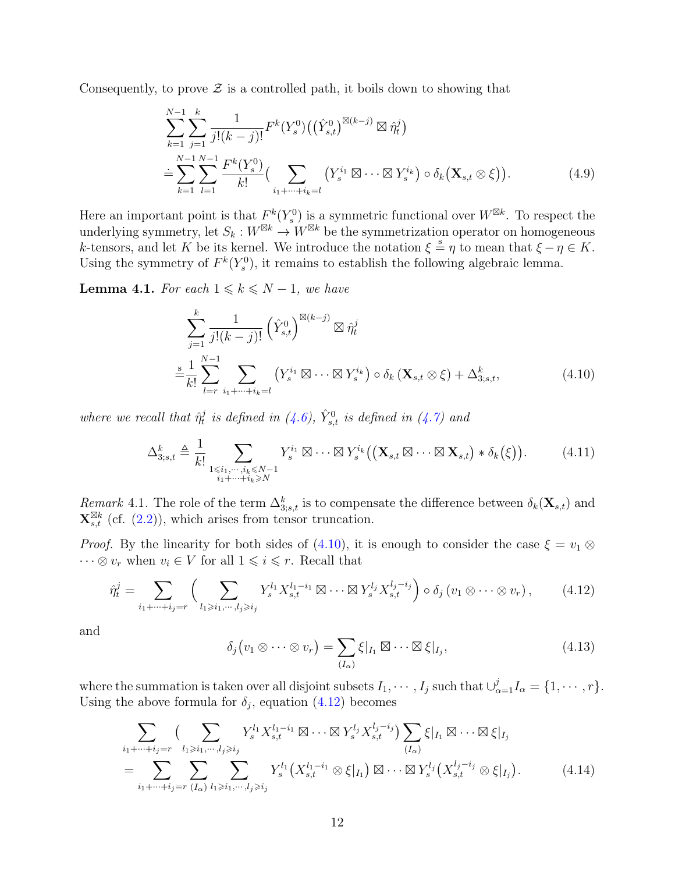Consequently, to prove  $\mathcal Z$  is a controlled path, it boils down to showing that

$$
\sum_{k=1}^{N-1} \sum_{j=1}^{k} \frac{1}{j!(k-j)!} F^{k}(Y_s^0) ((\hat{Y}_{s,t}^0)^{\boxtimes (k-j)} \boxtimes \hat{\eta}_t^j)
$$
  
\n
$$
\doteq \sum_{k=1}^{N-1} \sum_{l=1}^{N-1} \frac{F^{k}(Y_s^0)}{k!} (\sum_{i_1 + \dots + i_k = l} (Y_s^{i_1} \boxtimes \dots \boxtimes Y_s^{i_k}) \circ \delta_k (\mathbf{X}_{s,t} \otimes \xi)).
$$
\n(4.9)

Here an important point is that  $F^k(Y_s^0)$  is a symmetric functional over  $W^{\boxtimes k}$ . To respect the underlying symmetry, let  $S_k : W^{\boxtimes k} \to W^{\boxtimes k}$  be the symmetrization operator on homogeneous k-tensors, and let K be its kernel. We introduce the notation  $\xi = \eta$  to mean that  $\xi - \eta \in K$ . Using the symmetry of  $F^k(Y_s^0)$ , it remains to establish the following algebraic lemma.

<span id="page-11-5"></span>**Lemma 4.1.** For each  $1 \leq k \leq N-1$ , we have

<span id="page-11-0"></span>
$$
\sum_{j=1}^{k} \frac{1}{j!(k-j)!} \left(\hat{Y}_{s,t}^{0}\right)^{\boxtimes (k-j)} \boxtimes \hat{\eta}_t^j
$$
\n
$$
\stackrel{\text{s}}{=} \frac{1}{k!} \sum_{l=r}^{N-1} \sum_{i_1 + \dots + i_k = l} \left(Y_s^{i_1} \boxtimes \dots \boxtimes Y_s^{i_k}\right) \circ \delta_k \left(\mathbf{X}_{s,t} \otimes \xi\right) + \Delta_{3;s,t}^k,\tag{4.10}
$$

where we recall that  $\hat{\eta}_t^j$  $\hat{t}_t^j$  is defined in [\(4.6\)](#page-10-0),  $\hat{Y}_{s,t}^0$  is defined in [\(4.7\)](#page-10-1) and

<span id="page-11-4"></span>
$$
\Delta_{3;s,t}^{k} \triangleq \frac{1}{k!} \sum_{\substack{1 \leq i_1, \dots, i_k \leq N-1 \\ i_1 + \dots + i_k \geq N}} Y_s^{i_1} \boxtimes \dots \boxtimes Y_s^{i_k} ((\mathbf{X}_{s,t} \boxtimes \dots \boxtimes \mathbf{X}_{s,t}) * \delta_k(\xi)). \tag{4.11}
$$

Remark 4.1. The role of the term  $\Delta_{3;s,t}^k$  is to compensate the difference between  $\delta_k(\mathbf{X}_{s,t})$  and  $\mathbf{X}_{s,t}^{\boxtimes k}$  (cf. [\(2.2\)](#page-4-1)), which arises from tensor truncation.

*Proof.* By the linearity for both sides of [\(4.10\)](#page-11-0), it is enough to consider the case  $\xi = v_1 \otimes$  $\cdots \otimes v_r$  when  $v_i \in V$  for all  $1 \leq i \leq r$ . Recall that

<span id="page-11-1"></span>
$$
\hat{\eta}_t^j = \sum_{i_1 + \dots + i_j = r} \left( \sum_{l_1 \geqslant i_1, \dots, l_j \geqslant i_j} Y_s^{l_1} X_{s,t}^{l_1 - i_1} \boxtimes \dots \boxtimes Y_s^{l_j} X_{s,t}^{l_j - i_j} \right) \circ \delta_j \left( v_1 \otimes \dots \otimes v_r \right), \tag{4.12}
$$

and

<span id="page-11-3"></span><span id="page-11-2"></span>
$$
\delta_j(v_1 \otimes \cdots \otimes v_r) = \sum_{(I_\alpha)} \xi |_{I_1} \boxtimes \cdots \boxtimes \xi |_{I_j}, \qquad (4.13)
$$

where the summation is taken over all disjoint subsets  $I_1, \dots, I_j$  such that  $\bigcup_{\alpha=1}^j I_\alpha = \{1, \dots, r\}.$ Using the above formula for  $\delta_j$ , equation [\(4.12\)](#page-11-1) becomes

$$
\sum_{i_1+\dots+i_j=r} \left( \sum_{l_1\geq i_1,\dots,l_j\geq i_j} Y_s^{l_1} X_{s,t}^{l_1-i_1} \boxtimes \dots \boxtimes Y_s^{l_j} X_{s,t}^{l_j-i_j} \right) \sum_{(I_\alpha)} \xi |_{I_1} \boxtimes \dots \boxtimes \xi |_{I_j}
$$
\n
$$
= \sum_{i_1+\dots+i_j=r} \sum_{(I_\alpha)} \sum_{l_1\geq i_1,\dots,l_j\geq i_j} Y_s^{l_1} \left( X_{s,t}^{l_1-i_1} \otimes \xi |_{I_1} \right) \boxtimes \dots \boxtimes Y_s^{l_j} \left( X_{s,t}^{l_j-i_j} \otimes \xi |_{I_j} \right). \tag{4.14}
$$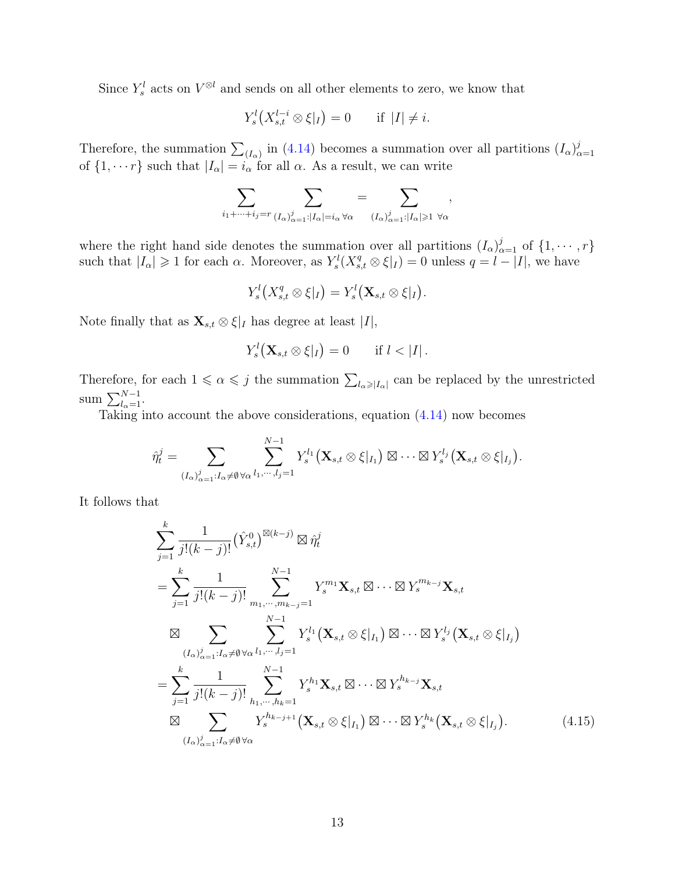Since  $Y_s^l$  acts on  $V^{\otimes l}$  and sends on all other elements to zero, we know that

$$
Y_s^l\left(X_{s,t}^{l-i} \otimes \xi|_I\right) = 0 \quad \text{if } |I| \neq i.
$$

Therefore, the summation  $\sum_{(I_{\alpha})}$  in [\(4.14\)](#page-11-2) becomes a summation over all partitions  $(I_{\alpha})_c^j$  $\alpha=1$ of  $\{1, \dots r\}$  such that  $|I_{\alpha}| = i_{\alpha}$  for all  $\alpha$ . As a result, we can write

$$
\sum_{i_1+\cdots+i_j=r} \sum_{(I_{\alpha})_{\alpha=1}^j:|I_{\alpha}|=i_{\alpha} \forall \alpha}=\sum_{(I_{\alpha})_{\alpha=1}^j:|I_{\alpha}|\geqslant 1 \ \forall \alpha},
$$

where the right hand side denotes the summation over all partitions  $(I_{\alpha})_{\alpha=1}^{j}$  of  $\{1, \cdots, r\}$ such that  $|I_{\alpha}| \geq 1$  for each  $\alpha$ . Moreover, as  $Y_s^l(X_{s,t}^q \otimes \xi|_I) = 0$  unless  $q = l - |I|$ , we have

$$
Y_s^l(X_{s,t}^q\otimes\xi|_I)=Y_s^l(\mathbf{X}_{s,t}\otimes\xi|_I).
$$

Note finally that as  $\mathbf{X}_{s,t} \otimes \xi|_I$  has degree at least  $|I|$ ,

$$
Y_s^l\big(\mathbf{X}_{s,t}\otimes \xi|_I\big)=0 \qquad \text{if } l<|I|.
$$

Therefore, for each  $1 \leq \alpha \leq j$  the summation  $\sum_{l_{\alpha} \geq |I_{\alpha}|}$  can be replaced by the unrestricted sum  $\sum_{l_{\alpha}=1}^{N-1}$ .

Taking into account the above considerations, equation [\(4.14\)](#page-11-2) now becomes

$$
\hat{\eta}^j_t = \sum_{(I_{\alpha})_{\alpha=1}^j: I_{\alpha} \neq \emptyset \forall \alpha} \sum_{l_1, \cdots, l_j=1}^{N-1} Y_s^{l_1} (\mathbf{X}_{s,t} \otimes \xi|_{I_1}) \boxtimes \cdots \boxtimes Y_s^{l_j} (\mathbf{X}_{s,t} \otimes \xi|_{I_j}).
$$

It follows that

<span id="page-12-0"></span>
$$
\sum_{j=1}^{k} \frac{1}{j!(k-j)!} (\hat{Y}_{s,t}^{0})^{\boxtimes (k-j)} \boxtimes \hat{\eta}_{t}^{j}
$$
\n
$$
= \sum_{j=1}^{k} \frac{1}{j!(k-j)!} \sum_{m_{1}, \dots, m_{k-j}=1}^{N-1} Y_{s}^{m_{1}} \mathbf{X}_{s,t} \boxtimes \dots \boxtimes Y_{s}^{m_{k-j}} \mathbf{X}_{s,t}
$$
\n
$$
\boxtimes \sum_{(I_{\alpha})_{\alpha=1}^{j} : I_{\alpha} \neq \emptyset \forall \alpha} \sum_{l_{1}, \dots, l_{j}=1}^{N-1} Y_{s}^{l_{1}} (\mathbf{X}_{s,t} \otimes \xi|_{I_{1}}) \boxtimes \dots \boxtimes Y_{s}^{l_{j}} (\mathbf{X}_{s,t} \otimes \xi|_{I_{j}})
$$
\n
$$
= \sum_{j=1}^{k} \frac{1}{j!(k-j)!} \sum_{h_{1}, \dots, h_{k}=1}^{N-1} Y_{s}^{h_{1}} \mathbf{X}_{s,t} \boxtimes \dots \boxtimes Y_{s}^{h_{k-j}} \mathbf{X}_{s,t}
$$
\n
$$
\boxtimes \sum_{(I_{\alpha})_{\alpha=1}^{j} : I_{\alpha} \neq \emptyset \forall \alpha} Y_{s}^{h_{k-j+1}} (\mathbf{X}_{s,t} \otimes \xi|_{I_{1}}) \boxtimes \dots \boxtimes Y_{s}^{h_{k}} (\mathbf{X}_{s,t} \otimes \xi|_{I_{j}}).
$$
\n(4.15)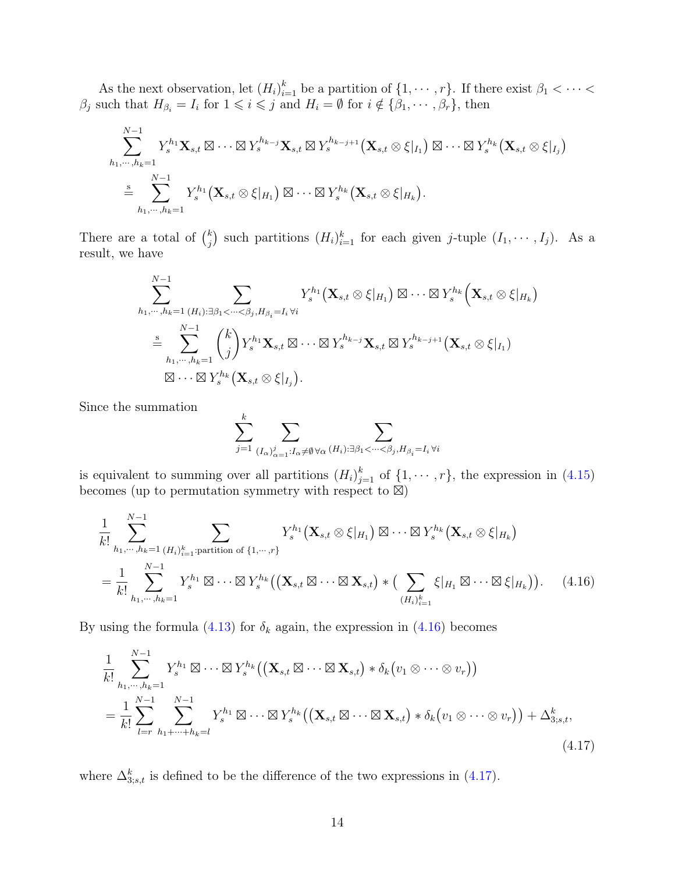As the next observation, let  $(H_i)_{i=1}^k$  be a partition of  $\{1, \dots, r\}$ . If there exist  $\beta_1 < \dots <$  $\beta_j$  such that  $H_{\beta_i} = I_i$  for  $1 \leqslant i \leqslant j$  and  $H_i = \emptyset$  for  $i \notin {\beta_1, \cdots, \beta_r}$ , then

$$
\sum_{h_1,\dots,h_k=1}^{N-1} Y_s^{h_1} \mathbf{X}_{s,t} \boxtimes \dots \boxtimes Y_s^{h_{k-j}} \mathbf{X}_{s,t} \boxtimes Y_s^{h_{k-j+1}} (\mathbf{X}_{s,t} \otimes \xi|_{I_1}) \boxtimes \dots \boxtimes Y_s^{h_k} (\mathbf{X}_{s,t} \otimes \xi|_{I_j})
$$
  

$$
\stackrel{s}{=} \sum_{h_1,\dots,h_k=1}^{N-1} Y_s^{h_1} (\mathbf{X}_{s,t} \otimes \xi|_{H_1}) \boxtimes \dots \boxtimes Y_s^{h_k} (\mathbf{X}_{s,t} \otimes \xi|_{H_k}).
$$

There are a total of  $\binom{k}{i}$  $j \choose j$  such partitions  $(H_i)_{i=1}^k$  for each given j-tuple  $(I_1, \dots, I_j)$ . As a result, we have

$$
\sum_{h_1,\dots,h_k=1}^{N-1} \sum_{(H_i): \exists \beta_1 < \dots < \beta_j, H_{\beta_i} = I_i \forall i} Y_s^{h_1}(\mathbf{X}_{s,t} \otimes \xi|_{H_1}) \boxtimes \dots \boxtimes Y_s^{h_k}(\mathbf{X}_{s,t} \otimes \xi|_{H_k})
$$
\n
$$
\stackrel{\mathbf{s}}{=} \sum_{h_1,\dots,h_k=1}^{N-1} {k \choose j} Y_s^{h_1} \mathbf{X}_{s,t} \boxtimes \dots \boxtimes Y_s^{h_{k-j}} \mathbf{X}_{s,t} \boxtimes Y_s^{h_{k-j+1}}(\mathbf{X}_{s,t} \otimes \xi|_{I_1})
$$
\n
$$
\boxtimes \dots \boxtimes Y_s^{h_k}(\mathbf{X}_{s,t} \otimes \xi|_{I_j}).
$$

Since the summation

<span id="page-13-1"></span><span id="page-13-0"></span>
$$
\sum_{j=1}^k\sum_{(I_{\alpha})_{\alpha=1}^j: I_{\alpha}\neq\emptyset\,\forall\alpha\,(H_i): \exists\beta_1<\cdots<\beta_j, H_{\beta_i}=I_i\,\forall i}
$$

is equivalent to summing over all partitions  $(H_i)_{j=1}^k$  of  $\{1, \dots, r\}$ , the expression in  $(4.15)$ becomes (up to permutation symmetry with respect to  $\mathbb{E}$ )

$$
\frac{1}{k!} \sum_{h_1,\dots,h_k=1}^{N-1} \sum_{(H_i)_{i=1}^k:\text{partition of }\{1,\dots,r\}} Y_s^{h_1}(\mathbf{X}_{s,t} \otimes \xi|_{H_1}) \boxtimes \dots \boxtimes Y_s^{h_k}(\mathbf{X}_{s,t} \otimes \xi|_{H_k})
$$
\n
$$
= \frac{1}{k!} \sum_{h_1,\dots,h_k=1}^{N-1} Y_s^{h_1} \boxtimes \dots \boxtimes Y_s^{h_k}((\mathbf{X}_{s,t} \boxtimes \dots \boxtimes \mathbf{X}_{s,t}) * (\sum_{(H_i)_{i=1}^k} \xi|_{H_1} \boxtimes \dots \boxtimes \xi|_{H_k})). \tag{4.16}
$$

By using the formula [\(4.13\)](#page-11-3) for  $\delta_k$  again, the expression in [\(4.16\)](#page-13-0) becomes

$$
\frac{1}{k!} \sum_{h_1,\dots,h_k=1}^{N-1} Y_s^{h_1} \boxtimes \dots \boxtimes Y_s^{h_k} ((\mathbf{X}_{s,t} \boxtimes \dots \boxtimes \mathbf{X}_{s,t}) * \delta_k (v_1 \otimes \dots \otimes v_r))
$$
\n
$$
= \frac{1}{k!} \sum_{l=r}^{N-1} \sum_{h_1+\dots+h_k=l}^{N-1} Y_s^{h_1} \boxtimes \dots \boxtimes Y_s^{h_k} ((\mathbf{X}_{s,t} \boxtimes \dots \boxtimes \mathbf{X}_{s,t}) * \delta_k (v_1 \otimes \dots \otimes v_r)) + \Delta_{3,s,t}^k,
$$
\n(4.17)

where  $\Delta_{3;s,t}^{k}$  is defined to be the difference of the two expressions in [\(4.17\)](#page-13-1).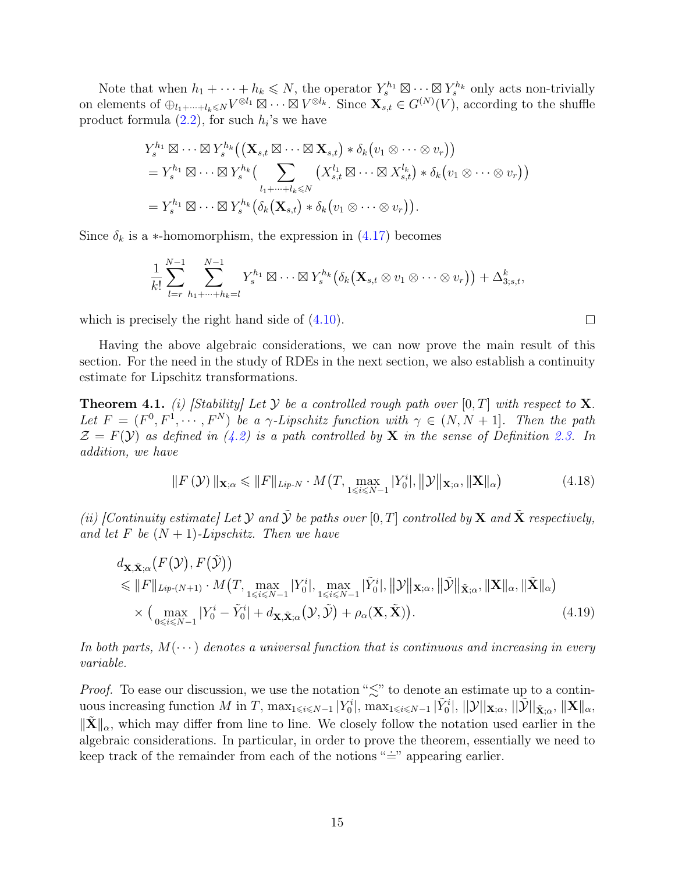Note that when  $h_1 + \cdots + h_k \leq N$ , the operator  $Y_s^{h_1} \boxtimes \cdots \boxtimes Y_s^{h_k}$  only acts non-trivially on elements of  $\oplus_{l_1+\cdots +l_k\leqslant N} V^{\otimes l_1}\boxtimes\cdots\boxtimes V^{\otimes l_k}$ . Since  $\mathbf{X}_{s,t}^{\dagger} \in G^{(N)}(V)$ , according to the shuffle product formula  $(2.2)$ , for such  $h_i$ 's we have

$$
Y_s^{h_1} \boxtimes \cdots \boxtimes Y_s^{h_k} ((\mathbf{X}_{s,t} \boxtimes \cdots \boxtimes \mathbf{X}_{s,t}) * \delta_k (v_1 \otimes \cdots \otimes v_r))
$$
  
=  $Y_s^{h_1} \boxtimes \cdots \boxtimes Y_s^{h_k} (\sum_{l_1 + \cdots + l_k \leq N} (X_{s,t}^{l_1} \boxtimes \cdots \boxtimes X_{s,t}^{l_k}) * \delta_k (v_1 \otimes \cdots \otimes v_r))$   
=  $Y_s^{h_1} \boxtimes \cdots \boxtimes Y_s^{h_k} (\delta_k (\mathbf{X}_{s,t}) * \delta_k (v_1 \otimes \cdots \otimes v_r)).$ 

Since  $\delta_k$  is a ∗-homomorphism, the expression in [\(4.17\)](#page-13-1) becomes

$$
\frac{1}{k!} \sum_{l=r}^{N-1} \sum_{h_1+\cdots+h_k=l}^{N-1} Y_s^{h_1} \boxtimes \cdots \boxtimes Y_s^{h_k} (\delta_k (\mathbf{X}_{s,t} \otimes v_1 \otimes \cdots \otimes v_r)) + \Delta_{3,s,t}^k,
$$

which is precisely the right hand side of  $(4.10)$ .

Having the above algebraic considerations, we can now prove the main result of this section. For the need in the study of RDEs in the next section, we also establish a continuity estimate for Lipschitz transformations.

<span id="page-14-1"></span>**Theorem 4.1.** (i) Stability Let Y be a controlled rough path over  $[0, T]$  with respect to X. Let  $F = (F^0, F^1, \dots, F^N)$  be a  $\gamma$ -Lipschitz function with  $\gamma \in (N, N + 1]$ . Then the path  $\mathcal{Z} = F(\mathcal{Y})$  as defined in [\(4.2\)](#page-9-1) is a path controlled by **X** in the sense of Definition [2.3.](#page-5-2) In addition, we have

<span id="page-14-0"></span>
$$
||F(\mathcal{Y})||_{\mathbf{X};\alpha} \leq ||F||_{Lip-N} \cdot M\big(T, \max_{1 \leq i \leq N-1} |Y_0^i|, ||\mathcal{Y}||_{\mathbf{X};\alpha}, ||\mathbf{X}||_{\alpha}\big) \tag{4.18}
$$

(ii) [Continuity estimate] Let  $\mathcal Y$  and  $\tilde{\mathcal Y}$  be paths over  $[0,T]$  controlled by  $\mathbf X$  and  $\tilde{\mathbf X}$  respectively, and let F be  $(N + 1)$ -Lipschitz. Then we have

$$
d_{\mathbf{X}, \tilde{\mathbf{X}}; \alpha}(F(\mathcal{Y}), F(\tilde{\mathcal{Y}}))
$$
  
\n
$$
\leq \|F\|_{Lip-(N+1)} \cdot M(T, \max_{1 \leq i \leq N-1} |Y_0^i|, \max_{1 \leq i \leq N-1} |\tilde{Y}_0^i|, \|\mathcal{Y}\|_{\mathbf{X}; \alpha}, \|\tilde{\mathcal{Y}}\|_{\tilde{\mathbf{X}}; \alpha}, \|\mathbf{X}\|_{\alpha}, \|\tilde{\mathbf{X}}\|_{\alpha})
$$
  
\n
$$
\times (\max_{0 \leq i \leq N-1} |Y_0^i - \tilde{Y}_0^i| + d_{\mathbf{X}, \tilde{\mathbf{X}}; \alpha}(\mathcal{Y}, \tilde{\mathcal{Y}}) + \rho_\alpha(\mathbf{X}, \tilde{\mathbf{X}})).
$$
\n(4.19)

In both parts,  $M(\dots)$  denotes a universal function that is continuous and increasing in every variable.

*Proof.* To ease our discussion, we use the notation " $\lesssim$ " to denote an estimate up to a continuous increasing function M in T,  $\max_{1 \leq i \leq N-1} |Y_0^i|$ ,  $\max_{1 \leq i \leq N-1} |\tilde{Y}_0^i|$ ,  $||\mathcal{Y}||_{\mathbf{X};\alpha}$ ,  $||\tilde{\mathcal{Y}}||_{\tilde{\mathbf{X}};\alpha}$ ,  $||\mathbf{X}||_{\alpha}$ ,  $\|\tilde{\mathbf{X}}\|_{\alpha}$ , which may differ from line to line. We closely follow the notation used earlier in the algebraic considerations. In particular, in order to prove the theorem, essentially we need to keep track of the remainder from each of the notions " $\equiv$ " appearing earlier.

 $\Box$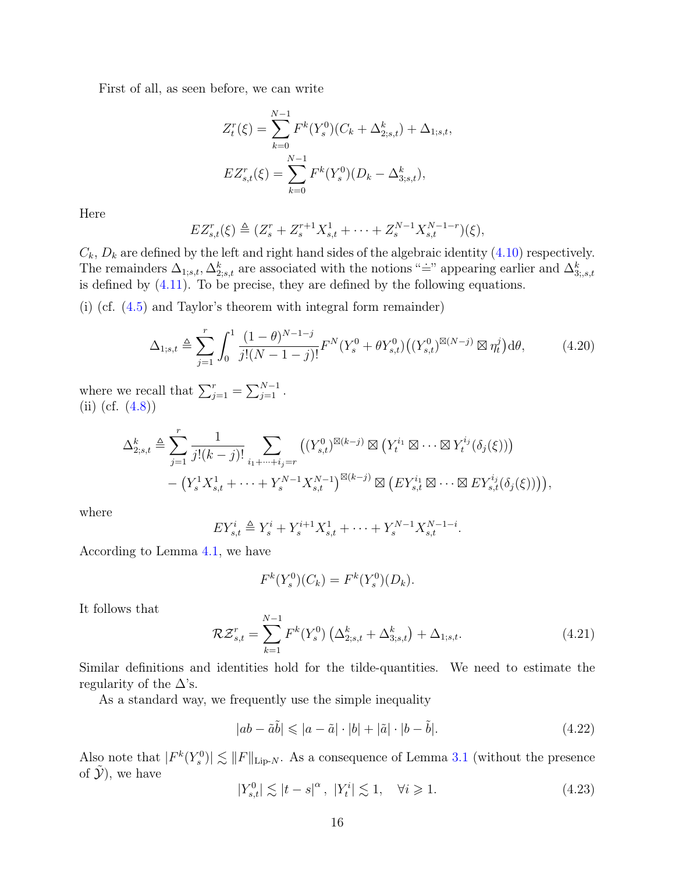First of all, as seen before, we can write

$$
Z_t^r(\xi) = \sum_{k=0}^{N-1} F^k(Y_s^0)(C_k + \Delta_{2,s,t}^k) + \Delta_{1,s,t},
$$
  

$$
EZ_{s,t}^r(\xi) = \sum_{k=0}^{N-1} F^k(Y_s^0)(D_k - \Delta_{3,s,t}^k),
$$

Here

$$
EZ_{s,t}^r(\xi) \triangleq (Z_s^r + Z_s^{r+1} X_{s,t}^1 + \dots + Z_s^{N-1} X_{s,t}^{N-1-r})(\xi),
$$

 $C_k$ ,  $D_k$  are defined by the left and right hand sides of the algebraic identity [\(4.10\)](#page-11-0) respectively. The remainders  $\Delta_{1,s,t}$ ,  $\Delta_{2,s,t}^k$  are associated with the notions "=" appearing earlier and  $\Delta_{3,s,t}^k$ is defined by  $(4.11)$ . To be precise, they are defined by the following equations.

(i) (cf. [\(4.5\)](#page-10-2) and Taylor's theorem with integral form remainder)

$$
\Delta_{1;s,t} \triangleq \sum_{j=1}^{r} \int_{0}^{1} \frac{(1-\theta)^{N-1-j}}{j!(N-1-j)!} F^{N}(Y_{s}^{0} + \theta Y_{s,t}^{0})((Y_{s,t}^{0})^{\boxtimes(N-j)} \boxtimes \eta_{t}^{j}) d\theta, \qquad (4.20)
$$

where we recall that  $\sum_{j=1}^{r} = \sum_{j=1}^{N-1}$ . (ii) (cf.  $(4.8)$ )

$$
\Delta_{2;s,t}^{k} \triangleq \sum_{j=1}^{r} \frac{1}{j!(k-j)!} \sum_{i_1+\dots+i_j=r} \left( (Y_{s,t}^0)^{\boxtimes (k-j)} \boxtimes \left( Y_t^{i_1} \boxtimes \dots \boxtimes Y_t^{i_j}(\delta_j(\xi)) \right) - \left( Y_s^1 X_{s,t}^1 + \dots + Y_s^{N-1} X_{s,t}^{N-1} \right)^{\boxtimes (k-j)} \boxtimes \left( E Y_{s,t}^{i_1} \boxtimes \dots \boxtimes E Y_{s,t}^{i_j}(\delta_j(\xi)) \right) \right),
$$

where

$$
EY_{s,t}^{i} \triangleq Y_s^i + Y_s^{i+1} X_{s,t}^1 + \dots + Y_s^{N-1} X_{s,t}^{N-1-i}.
$$

According to Lemma [4.1,](#page-11-5) we have

<span id="page-15-0"></span>
$$
F^{k}(Y_s^0)(C_k) = F^{k}(Y_s^0)(D_k).
$$

It follows that

<span id="page-15-1"></span>
$$
\mathcal{R}\mathcal{Z}_{s,t}^{r} = \sum_{k=1}^{N-1} F^{k}(Y_s^0) \left( \Delta_{2;s,t}^k + \Delta_{3;s,t}^k \right) + \Delta_{1;s,t}.
$$
 (4.21)

Similar definitions and identities hold for the tilde-quantities. We need to estimate the regularity of the  $\Delta$ 's.

As a standard way, we frequently use the simple inequality

$$
|ab - \tilde{a}\tilde{b}| \leqslant |a - \tilde{a}| \cdot |b| + |\tilde{a}| \cdot |b - \tilde{b}|.
$$
\n(4.22)

Also note that  $|F^k(Y_s^0)| \lesssim ||F||_{\text{Lip-}N}$ . As a consequence of Lemma [3.1](#page-6-1) (without the presence of  $\mathcal{Y}$ ), we have

$$
|Y_{s,t}^0| \lesssim |t-s|^\alpha, \ |Y_t^i| \lesssim 1, \quad \forall i \geq 1. \tag{4.23}
$$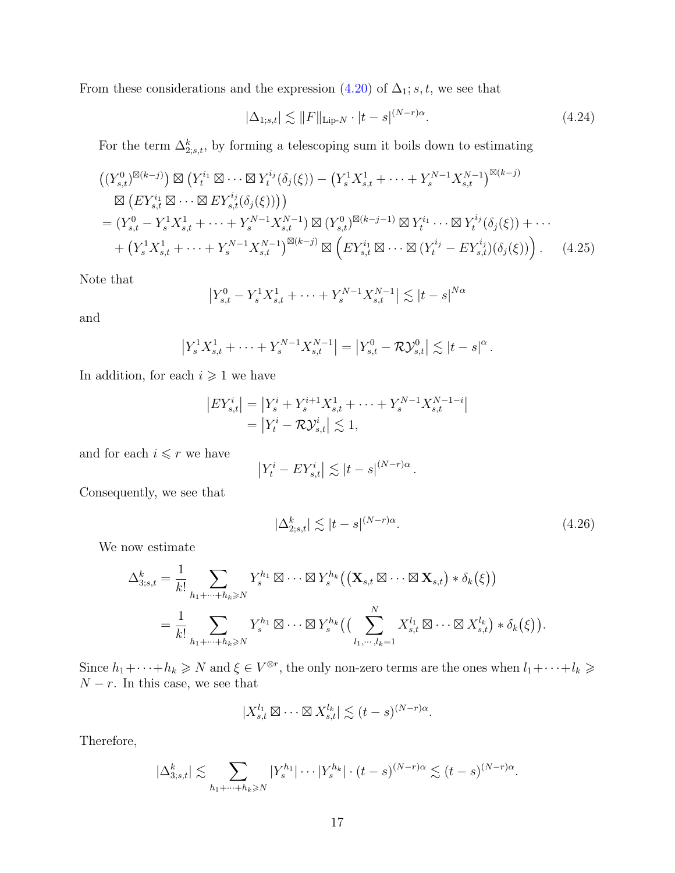From these considerations and the expression  $(4.20)$  of  $\Delta_1$ ; s, t, we see that

<span id="page-16-2"></span><span id="page-16-0"></span>
$$
|\Delta_{1;s,t}| \lesssim ||F||_{\text{Lip-}N} \cdot |t-s|^{(N-r)\alpha}.
$$
 (4.24)

For the term  $\Delta_{2;s,t}^k$ , by forming a telescoping sum it boils down to estimating

$$
\begin{split}\n&\left((Y_{s,t}^{0})^{\boxtimes(k-j)}\right) \boxtimes \left(Y_{t}^{i_{1}} \boxtimes \cdots \boxtimes Y_{t}^{i_{j}}(\delta_{j}(\xi)) - \left(Y_{s}^{1} X_{s,t}^{1} + \cdots + Y_{s}^{N-1} X_{s,t}^{N-1}\right)^{\boxtimes(k-j)} \\
&\boxtimes \left(EY_{s,t}^{i_{1}} \boxtimes \cdots \boxtimes EY_{s,t}^{i_{j}}(\delta_{j}(\xi))\right)\right) \\
&= (Y_{s,t}^{0} - Y_{s}^{1} X_{s,t}^{1} + \cdots + Y_{s}^{N-1} X_{s,t}^{N-1}) \boxtimes (Y_{s,t}^{0})^{\boxtimes(k-j-1)} \boxtimes Y_{t}^{i_{1}} \cdots \boxtimes Y_{t}^{i_{j}}(\delta_{j}(\xi)) + \cdots \\
&\quad + \left(Y_{s}^{1} X_{s,t}^{1} + \cdots + Y_{s}^{N-1} X_{s,t}^{N-1}\right)^{\boxtimes(k-j)} \boxtimes \left(EY_{s,t}^{i_{1}} \boxtimes \cdots \boxtimes (Y_{t}^{i_{j}} - EY_{s,t}^{i_{j}})(\delta_{j}(\xi))\right). \n\end{split} \tag{4.25}
$$

Note that

$$
\left| Y_{s,t}^0 - Y_s^1 X_{s,t}^1 + \dots + Y_s^{N-1} X_{s,t}^{N-1} \right| \lesssim |t-s|^{N\alpha}
$$

and

$$
\left|Y_s^1 X_{s,t}^1 + \cdots + Y_s^{N-1} X_{s,t}^{N-1}\right| = \left|Y_{s,t}^0 - \mathcal{RV}_{s,t}^0\right| \lesssim |t-s|^\alpha.
$$

In addition, for each  $i \geq 1$  we have

$$
|EY_{s,t}^{i}| = |Y_s^{i} + Y_s^{i+1} X_{s,t}^{1} + \dots + Y_s^{N-1} X_{s,t}^{N-1-i}|
$$
  
=  $|Y_t^{i} - \mathcal{RV}_{s,t}^{i}| \lesssim 1$ ,

and for each  $i \leq r$  we have

$$
\left| Y^i_t - E Y^i_{s,t} \right| \lesssim |t-s|^{(N-r)\alpha}.
$$

Consequently, we see that

<span id="page-16-1"></span>
$$
|\Delta_{2;s,t}^k| \lesssim |t-s|^{(N-r)\alpha}.\tag{4.26}
$$

We now estimate

$$
\Delta_{3;s,t}^{k} = \frac{1}{k!} \sum_{h_1 + \dots + h_k \geqslant N} Y_s^{h_1} \boxtimes \dots \boxtimes Y_s^{h_k} ((\mathbf{X}_{s,t} \boxtimes \dots \boxtimes \mathbf{X}_{s,t}) * \delta_k(\xi))
$$
  
= 
$$
\frac{1}{k!} \sum_{h_1 + \dots + h_k \geqslant N} Y_s^{h_1} \boxtimes \dots \boxtimes Y_s^{h_k} ((\sum_{l_1, \dots, l_k=1}^N X_{s,t}^{l_1} \boxtimes \dots \boxtimes X_{s,t}^{l_k}) * \delta_k(\xi)).
$$

Since  $h_1+\cdots+h_k\geq N$  and  $\xi\in V^{\otimes r}$ , the only non-zero terms are the ones when  $l_1+\cdots+l_k\geq 0$  $N - r$ . In this case, we see that

$$
|X_{s,t}^{l_1} \boxtimes \cdots \boxtimes X_{s,t}^{l_k}| \lesssim (t-s)^{(N-r)\alpha}.
$$

Therefore,

$$
|\Delta_{3,s,t}^k| \lesssim \sum_{h_1+\cdots+h_k\geqslant N} |Y_s^{h_1}|\cdots|Y_s^{h_k}|\cdot (t-s)^{(N-r)\alpha} \lesssim (t-s)^{(N-r)\alpha}.
$$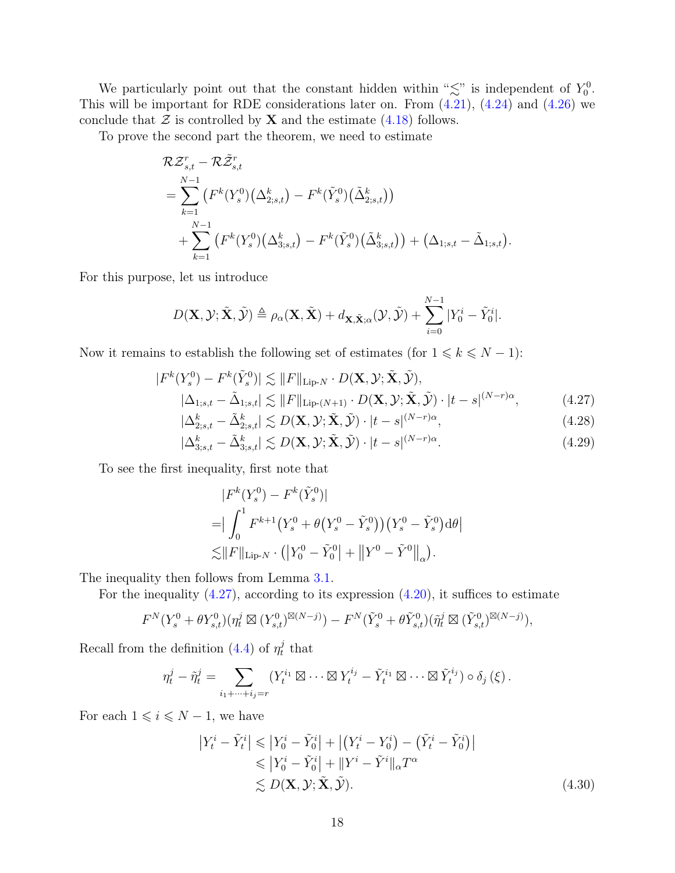We particularly point out that the constant hidden within " $\lesssim$ " is independent of  $Y_0^0$ . This will be important for RDE considerations later on. From [\(4.21\)](#page-15-1), [\(4.24\)](#page-16-0) and [\(4.26\)](#page-16-1) we conclude that  $\mathcal Z$  is controlled by **X** and the estimate [\(4.18\)](#page-14-0) follows.

To prove the second part the theorem, we need to estimate

$$
\mathcal{R}\mathcal{Z}_{s,t}^{r} - \mathcal{R}\tilde{\mathcal{Z}}_{s,t}^{r} \n= \sum_{k=1}^{N-1} (F^{k}(Y_{s}^{0})(\Delta_{2;s,t}^{k}) - F^{k}(\tilde{Y}_{s}^{0})(\tilde{\Delta}_{2;s,t}^{k})) \n+ \sum_{k=1}^{N-1} (F^{k}(Y_{s}^{0})(\Delta_{3;s,t}^{k}) - F^{k}(\tilde{Y}_{s}^{0})(\tilde{\Delta}_{3;s,t}^{k})) + (\Delta_{1;s,t} - \tilde{\Delta}_{1;s,t}).
$$

For this purpose, let us introduce

$$
D(\mathbf{X}, \mathcal{Y}; \tilde{\mathbf{X}}, \tilde{\mathcal{Y}}) \triangleq \rho_{\alpha}(\mathbf{X}, \tilde{\mathbf{X}}) + d_{\mathbf{X}, \tilde{\mathbf{X}}; \alpha}(\mathcal{Y}, \tilde{\mathcal{Y}}) + \sum_{i=0}^{N-1} |Y_0^i - \tilde{Y}_0^i|.
$$

Now it remains to establish the following set of estimates (for  $1 \le k \le N - 1$ ):

$$
|F^{k}(Y_s^0) - F^{k}(\tilde{Y}_s^0)| \lesssim ||F||_{\text{Lip-}N} \cdot D(\mathbf{X}, \mathcal{Y}; \tilde{\mathbf{X}}, \tilde{\mathcal{Y}}),
$$
  

$$
|\Delta_{1;s,t} - \tilde{\Delta}_{1;s,t}| \lesssim ||F||_{\text{Lip-}(N+1)} \cdot D(\mathbf{X}, \mathcal{Y}; \tilde{\mathbf{X}}, \tilde{\mathcal{Y}}) \cdot |t - s|^{(N-r)\alpha},
$$
 (4.27)

$$
|\Delta_{2;s,t}^k - \tilde{\Delta}_{2;s,t}^k| \lesssim D(\mathbf{X}, \mathcal{Y}; \tilde{\mathbf{X}}, \tilde{\mathcal{Y}}) \cdot |t - s|^{(N-r)\alpha},\tag{4.28}
$$

$$
|\Delta_{3;s,t}^k - \tilde{\Delta}_{3;s,t}^k| \lesssim D(\mathbf{X}, \mathcal{Y}; \tilde{\mathbf{X}}, \tilde{\mathcal{Y}}) \cdot |t - s|^{(N-r)\alpha}.
$$
\n(4.29)

To see the first inequality, first note that

<span id="page-17-2"></span><span id="page-17-1"></span><span id="page-17-0"></span>
$$
|F^{k}(Y_s^0) - F^{k}(\tilde{Y}_s^0)|
$$
  
= 
$$
|\int_0^1 F^{k+1}(Y_s^0 + \theta(Y_s^0 - \tilde{Y}_s^0))(Y_s^0 - \tilde{Y}_s^0) d\theta|
$$
  

$$
\lesssim ||F||_{\text{Lip-}N} \cdot (|Y_0^0 - \tilde{Y}_0^0| + ||Y^0 - \tilde{Y}^0||_{\alpha}).
$$

The inequality then follows from Lemma [3.1.](#page-6-1)

For the inequality  $(4.27)$ , according to its expression  $(4.20)$ , it suffices to estimate

$$
F^N(Y_s^0 + \theta Y_{s,t}^0)(\eta_t^j \boxtimes (Y_{s,t}^0)^{\boxtimes(N-j)}) - F^N(\tilde{Y}_s^0 + \theta \tilde{Y}_{s,t}^0)(\tilde{\eta}_t^j \boxtimes (\tilde{Y}_{s,t}^0)^{\boxtimes(N-j)}),
$$

Recall from the definition [\(4.4\)](#page-10-4) of  $\eta_t^j$  $_t^j$  that

$$
\eta_t^j - \tilde{\eta}_t^j = \sum_{i_1 + \dots + i_j = r} (Y_t^{i_1} \boxtimes \dots \boxtimes Y_t^{i_j} - \tilde{Y}_t^{i_1} \boxtimes \dots \boxtimes \tilde{Y}_t^{i_j}) \circ \delta_j (\xi).
$$

For each  $1 \leq i \leq N - 1$ , we have

$$
\left| Y_t^i - \tilde{Y}_t^i \right| \leqslant \left| Y_0^i - \tilde{Y}_0^i \right| + \left| \left( Y_t^i - Y_0^i \right) - \left( \tilde{Y}_t^i - \tilde{Y}_0^i \right) \right|
$$
  
\n
$$
\leqslant \left| Y_0^i - \tilde{Y}_0^i \right| + \left| Y^i - \tilde{Y}^i \right|_{\alpha} T^{\alpha}
$$
  
\n
$$
\lesssim D(\mathbf{X}, \mathcal{Y}; \tilde{\mathbf{X}}, \tilde{\mathcal{Y}}).
$$
\n(4.30)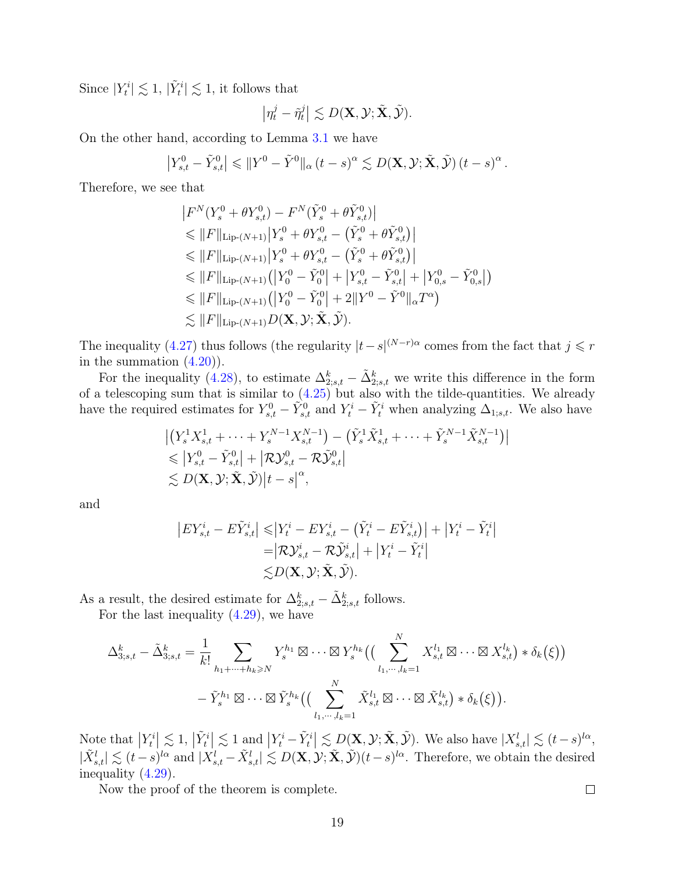Since  $|Y_t^i| \lesssim 1$ ,  $|\tilde{Y}_t^i| \lesssim 1$ , it follows that

$$
\left|\eta_t^j-\tilde{\eta}_t^j\right|\lesssim D(\mathbf{X},\mathcal{Y};\tilde{\mathbf{X}},\tilde{\mathcal{Y}}).
$$

On the other hand, according to Lemma [3.1](#page-6-1) we have

$$
\left|Y_{s,t}^0 - \tilde{Y}_{s,t}^0\right| \leqslant \|Y^0 - \tilde{Y}^0\|_{\alpha} (t-s)^{\alpha} \lesssim D(\mathbf{X}, \mathcal{Y}; \tilde{\mathbf{X}}, \tilde{\mathcal{Y}}) (t-s)^{\alpha}.
$$

Therefore, we see that

$$
|F^{N}(Y_{s}^{0} + \theta Y_{s,t}^{0}) - F^{N}(\tilde{Y}_{s}^{0} + \theta \tilde{Y}_{s,t}^{0})|
$$
  
\n
$$
\leq ||F||_{\text{Lip-}(N+1)} |Y_{s}^{0} + \theta Y_{s,t}^{0} - (\tilde{Y}_{s}^{0} + \theta \tilde{Y}_{s,t}^{0})|
$$
  
\n
$$
\leq ||F||_{\text{Lip-}(N+1)} |Y_{s}^{0} + \theta Y_{s,t}^{0} - (\tilde{Y}_{s}^{0} + \theta \tilde{Y}_{s,t}^{0})|
$$
  
\n
$$
\leq ||F||_{\text{Lip-}(N+1)} (|Y_{0}^{0} - \tilde{Y}_{0}^{0}| + |Y_{s,t}^{0} - \tilde{Y}_{s,t}^{0}| + |Y_{0,s}^{0} - \tilde{Y}_{0,s}^{0}|)
$$
  
\n
$$
\leq ||F||_{\text{Lip-}(N+1)} (|Y_{0}^{0} - \tilde{Y}_{0}^{0}| + 2||Y^{0} - \tilde{Y}^{0}||_{\alpha}T^{\alpha})
$$
  
\n
$$
\leq ||F||_{\text{Lip-}(N+1)} D(\mathbf{X}, \mathcal{Y}; \tilde{\mathbf{X}}, \tilde{\mathcal{Y}}).
$$

The inequality [\(4.27\)](#page-17-0) thus follows (the regularity  $|t-s|^{(N-r)\alpha}$  comes from the fact that  $j \leq r$ in the summation  $(4.20)$ .

For the inequality [\(4.28\)](#page-17-1), to estimate  $\Delta_{2;s,t}^k - \tilde{\Delta}_{2;s,t}^k$  we write this difference in the form of a telescoping sum that is similar to  $(4.25)$  but also with the tilde-quantities. We already have the required estimates for  $Y_{s,t}^0 - \tilde{Y}_{s,t}^0$  and  $Y_t^i - \tilde{Y}_t^i$  when analyzing  $\Delta_{1,s,t}$ . We also have

$$
\begin{aligned} & \left| \left( Y_s^1 X_{s,t}^1 + \dots + Y_s^{N-1} X_{s,t}^{N-1} \right) - \left( \tilde{Y}_s^1 \tilde{X}_{s,t}^1 + \dots + \tilde{Y}_s^{N-1} \tilde{X}_{s,t}^{N-1} \right) \right| \\ &\leqslant \left| Y_{s,t}^0 - \tilde{Y}_{s,t}^0 \right| + \left| \mathcal{RV}_{s,t}^0 - \mathcal{RV}_{s,t}^0 \right| \\ &\lesssim D(\mathbf{X}, \mathcal{Y}; \tilde{\mathbf{X}}, \tilde{\mathcal{Y}}) \left| t - s \right|^\alpha, \end{aligned}
$$

and

$$
\begin{aligned} \left| EY_{s,t}^i - E\tilde{Y}_{s,t}^i \right| \leqslant & \left| Y_t^i - EY_{s,t}^i - \left( \tilde{Y}_t^i - E\tilde{Y}_{s,t}^i \right) \right| + \left| Y_t^i - \tilde{Y}_t^i \right| \\ = & \left| \mathcal{RV}_{s,t}^i - \mathcal{R}\tilde{\mathcal{Y}}_{s,t}^i \right| + \left| Y_t^i - \tilde{Y}_t^i \right| \\ \lesssim & D(\mathbf{X}, \mathcal{Y}; \tilde{\mathbf{X}}, \tilde{\mathcal{Y}}). \end{aligned}
$$

As a result, the desired estimate for  $\Delta_{2;s,t}^k - \tilde{\Delta}_{2;s,t}^k$  follows.

For the last inequality  $(4.29)$ , we have

$$
\Delta_{3;s,t}^k - \tilde{\Delta}_{3;s,t}^k = \frac{1}{k!} \sum_{h_1 + \dots + h_k \geq N} Y_s^{h_1} \boxtimes \dots \boxtimes Y_s^{h_k} \Big( \Big( \sum_{l_1, \dots, l_k = 1}^N X_{s,t}^{l_1} \boxtimes \dots \boxtimes X_{s,t}^{l_k} \Big) * \delta_k(\xi) \Big) - \tilde{Y}_s^{h_1} \boxtimes \dots \boxtimes \tilde{Y}_s^{h_k} \Big( \Big( \sum_{l_1, \dots, l_k = 1}^N \tilde{X}_{s,t}^{l_1} \boxtimes \dots \boxtimes \tilde{X}_{s,t}^{l_k} \Big) * \delta_k(\xi) \Big).
$$

Note that  $|Y_t^i| \lesssim 1$ ,  $|\tilde{Y}_t^i| \lesssim 1$  and  $|Y_t^i - \tilde{Y}_t^i| \lesssim D(\mathbf{X}, \mathcal{Y}; \tilde{\mathbf{X}}, \tilde{\mathcal{Y}})$ . We also have  $|X_{s,t}^l| \lesssim (t-s)^{l\alpha}$ ,  $|\tilde{X}^l_{s,t}| \lesssim (t-s)^{l\alpha}$  and  $|X^l_{s,t} - \tilde{X}^l_{s,t}| \lesssim D(\mathbf{X}, \mathcal{Y}; \tilde{\mathbf{X}}, \tilde{\mathcal{Y}})(t-s)^{l\alpha}$ . Therefore, we obtain the desired inequality [\(4.29\)](#page-17-2).

Now the proof of the theorem is complete.

 $\Box$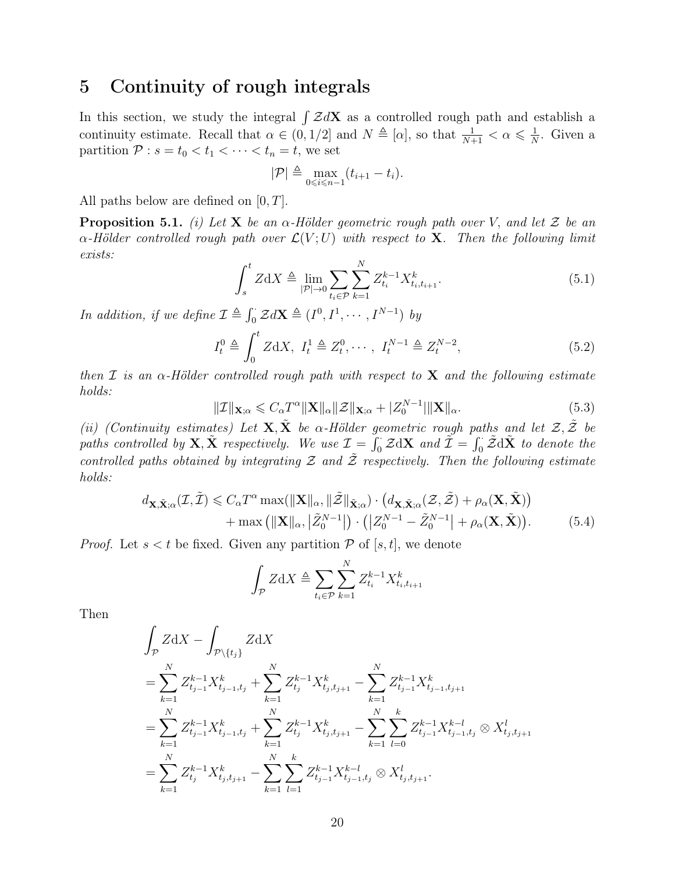### 5 Continuity of rough integrals

In this section, we study the integral  $\int \mathcal{Z}dX$  as a controlled rough path and establish a continuity estimate. Recall that  $\alpha \in (0, 1/2]$  and  $N \triangleq [\alpha]$ , so that  $\frac{1}{N+1} < \alpha \leq \frac{1}{N}$  $\frac{1}{N}$ . Given a partition  $P : s = t_0 < t_1 < \cdots < t_n = t$ , we set

$$
|\mathcal{P}| \triangleq \max_{0 \leq i \leq n-1} (t_{i+1} - t_i).
$$

All paths below are defined on  $[0, T]$ .

<span id="page-19-3"></span>**Proposition 5.1.** (i) Let **X** be an  $\alpha$ -Hölder geometric rough path over V, and let Z be an  $\alpha$ -Hölder controlled rough path over  $\mathcal{L}(V;U)$  with respect to **X**. Then the following limit exists:

<span id="page-19-0"></span>
$$
\int_{s}^{t} Z \mathrm{d}X \triangleq \lim_{|\mathcal{P}| \to 0} \sum_{t_{i} \in \mathcal{P}} \sum_{k=1}^{N} Z_{t_{i}}^{k-1} X_{t_{i}, t_{i+1}}^{k}.
$$
\n(5.1)

In addition, if we define  $\mathcal{I} \triangleq \int_0^{\cdot} \mathcal{Z} dX \triangleq (I^0, I^1, \cdots, I^{N-1})$  by

$$
I_t^0 \triangleq \int_0^t Z \, \mathrm{d}X, \ I_t^1 \triangleq Z_t^0, \cdots, \ I_t^{N-1} \triangleq Z_t^{N-2}, \tag{5.2}
$$

then I is an  $\alpha$ -Hölder controlled rough path with respect to **X** and the following estimate holds:

<span id="page-19-2"></span>
$$
\|\mathcal{I}\|_{\mathbf{X};\alpha} \leqslant C_{\alpha} T^{\alpha} \|\mathbf{X}\|_{\alpha} \|\mathcal{Z}\|_{\mathbf{X};\alpha} + |Z_{0}^{N-1}| \|\mathbf{X}\|_{\alpha}.
$$
\n
$$
(5.3)
$$

(ii) (Continuity estimates) Let  $X, X$  be  $\alpha$ -Hölder geometric rough paths and let  $\mathcal{Z}, \tilde{\mathcal{Z}}$  be paths controlled by  $X, \tilde{X}$  respectively. We use  $\mathcal{I} = \int_0^{\cdot} \mathcal{Z} dX$  and  $\tilde{\mathcal{I}} = \int_0^{\cdot} \tilde{\mathcal{Z}} d\tilde{X}$  to denote the controlled paths obtained by integrating  $\mathcal Z$  and  $\tilde Z$  respectively. Then the following estimate holds:

$$
d_{\mathbf{X}, \tilde{\mathbf{X}}; \alpha}(\mathcal{I}, \tilde{\mathcal{I}}) \leq C_{\alpha} T^{\alpha} \max(||\mathbf{X}||_{\alpha}, ||\tilde{\mathcal{Z}}||_{\tilde{\mathbf{X}}; \alpha}) \cdot (d_{\mathbf{X}, \tilde{\mathbf{X}}; \alpha}(\mathcal{Z}, \tilde{\mathcal{Z}}) + \rho_{\alpha}(\mathbf{X}, \tilde{\mathbf{X}})) + \max (||\mathbf{X}||_{\alpha}, |\tilde{Z}_{0}^{N-1}|) \cdot (|Z_{0}^{N-1} - \tilde{Z}_{0}^{N-1}| + \rho_{\alpha}(\mathbf{X}, \tilde{\mathbf{X}})).
$$
(5.4)

*Proof.* Let  $s < t$  be fixed. Given any partition  $P$  of [s, t], we denote

<span id="page-19-1"></span>
$$
\int_{\mathcal{P}} Z \mathrm{d}X \triangleq \sum_{t_i \in \mathcal{P}} \sum_{k=1}^{N} Z_{t_i}^{k-1} X_{t_i, t_{i+1}}^k
$$

Then

$$
\int_{\mathcal{P}} Z \mathrm{d}X - \int_{\mathcal{P}\backslash\{t_j\}} Z \mathrm{d}X
$$
\n
$$
= \sum_{k=1}^{N} Z_{t_{j-1}}^{k-1} X_{t_{j-1},t_j}^k + \sum_{k=1}^{N} Z_{t_j}^{k-1} X_{t_j,t_{j+1}}^k - \sum_{k=1}^{N} Z_{t_{j-1}}^{k-1} X_{t_{j-1},t_{j+1}}^k
$$
\n
$$
= \sum_{k=1}^{N} Z_{t_{j-1}}^{k-1} X_{t_{j-1},t_j}^k + \sum_{k=1}^{N} Z_{t_j}^{k-1} X_{t_j,t_{j+1}}^k - \sum_{k=1}^{N} \sum_{l=0}^{k} Z_{t_{j-1}}^{k-1} X_{t_{j-1},t_j}^{k-1} \otimes X_{t_j,t_{j+1}}^l
$$
\n
$$
= \sum_{k=1}^{N} Z_{t_j}^{k-1} X_{t_j,t_{j+1}}^k - \sum_{k=1}^{N} \sum_{l=1}^{k} Z_{t_{j-1}}^{k-1} X_{t_{j-1},t_j}^{k-1} \otimes X_{t_j,t_{j+1}}^l.
$$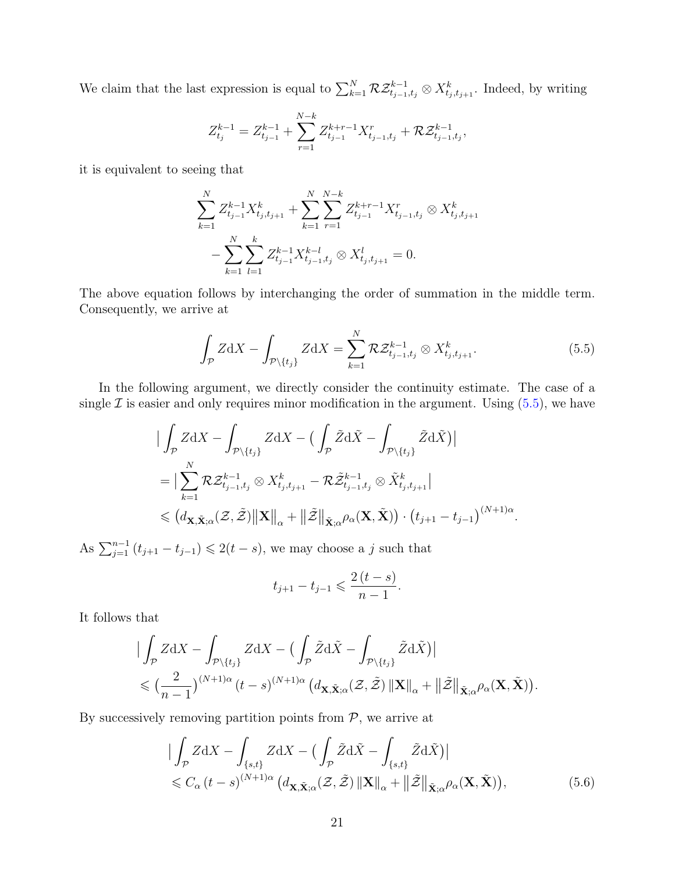We claim that the last expression is equal to  $\sum_{k=1}^{N} \mathcal{R} \mathcal{Z}^{k-1}_{t_{j-1},t_j} \otimes X^k_{t_j,t_{j+1}}$ . Indeed, by writing

$$
Z_{t_j}^{k-1} = Z_{t_{j-1}}^{k-1} + \sum_{r=1}^{N-k} Z_{t_{j-1}}^{k+r-1} X_{t_{j-1},t_j}^r + \mathcal{R} \mathcal{Z}_{t_{j-1},t_j}^{k-1},
$$

it is equivalent to seeing that

$$
\sum_{k=1}^{N} Z_{t_{j-1}}^{k-1} X_{t_j, t_{j+1}}^k + \sum_{k=1}^{N} \sum_{r=1}^{N-k} Z_{t_{j-1}}^{k+r-1} X_{t_{j-1}, t_j}^r \otimes X_{t_j, t_{j+1}}^k
$$

$$
- \sum_{k=1}^{N} \sum_{l=1}^{k} Z_{t_{j-1}}^{k-1} X_{t_{j-1}, t_j}^{k-l} \otimes X_{t_j, t_{j+1}}^l = 0.
$$

The above equation follows by interchanging the order of summation in the middle term. Consequently, we arrive at

<span id="page-20-0"></span>
$$
\int_{\mathcal{P}} Z \, \mathrm{d}X - \int_{\mathcal{P} \setminus \{t_j\}} Z \, \mathrm{d}X = \sum_{k=1}^{N} \mathcal{R} \mathcal{Z}_{t_{j-1}, t_j}^{k-1} \otimes X_{t_j, t_{j+1}}^k. \tag{5.5}
$$

In the following argument, we directly consider the continuity estimate. The case of a single  $\mathcal I$  is easier and only requires minor modification in the argument. Using  $(5.5)$ , we have

$$
\begin{split}\n&\big|\int_{\mathcal{P}} Z \mathrm{d}X - \int_{\mathcal{P} \setminus \{t_j\}} Z \mathrm{d}X - \big(\int_{\mathcal{P}} \tilde{Z} \mathrm{d} \tilde{X} - \int_{\mathcal{P} \setminus \{t_j\}} \tilde{Z} \mathrm{d} \tilde{X}\big)\big| \\
&= \big|\sum_{k=1}^{N} \mathcal{R} \mathcal{Z}_{t_{j-1},t_j}^{k-1} \otimes X_{t_{j},t_{j+1}}^k - \mathcal{R} \tilde{\mathcal{Z}}_{t_{j-1},t_j}^{k-1} \otimes \tilde{X}_{t_{j},t_{j+1}}^k\big| \\
&\leqslant \big(d_{\mathbf{X}, \tilde{\mathbf{X}}; \alpha}(\mathcal{Z}, \tilde{\mathcal{Z}})\big\| \mathbf{X} \big\|_{\alpha} + \big\|\tilde{\mathcal{Z}}\big\|_{\tilde{\mathbf{X}}; \alpha} \rho_{\alpha}(\mathbf{X}, \tilde{\mathbf{X}})\big) \cdot \big(t_{j+1} - t_{j-1}\big)^{(N+1)\alpha}.\n\end{split}
$$

As  $\sum_{j=1}^{n-1} (t_{j+1} - t_{j-1}) \leq 2(t-s)$ , we may choose a j such that

<span id="page-20-1"></span>
$$
t_{j+1} - t_{j-1} \leqslant \frac{2(t-s)}{n-1}.
$$

It follows that

$$
\begin{split} &\big|\int_{\mathcal{P}} Z \mathrm{d} X - \int_{\mathcal{P} \setminus \{t_j\}} Z \mathrm{d} X - \big(\int_{\mathcal{P}} \tilde{Z} \mathrm{d} \tilde{X} - \int_{\mathcal{P} \setminus \{t_j\}} \tilde{Z} \mathrm{d} \tilde{X}\big)\big| \\ &\leqslant \big(\frac{2}{n-1}\big)^{(N+1)\alpha} \big(t-s\big)^{(N+1)\alpha} \big(d_{\mathbf{X}, \tilde{\mathbf{X}}; \alpha}(\mathcal{Z}, \tilde{\mathcal{Z}}) \left\| \mathbf{X} \right\|_{\alpha} + \left\| \tilde{\mathcal{Z}} \right\|_{\tilde{\mathbf{X}}; \alpha} \rho_{\alpha}(\mathbf{X}, \tilde{\mathbf{X}}) \big). \end{split}
$$

By successively removing partition points from  $P$ , we arrive at

$$
\left| \int_{\mathcal{P}} Z \mathrm{d}X - \int_{\{s,t\}} Z \mathrm{d}X - \left( \int_{\mathcal{P}} \tilde{Z} \mathrm{d}\tilde{X} - \int_{\{s,t\}} \tilde{Z} \mathrm{d}\tilde{X} \right) \right|
$$
  
\$\leqslant C\_{\alpha} (t-s)^{(N+1)\alpha} \left( d\_{\mathbf{X}, \tilde{\mathbf{X}}; \alpha} (\mathcal{Z}, \tilde{\mathcal{Z}}) \left\| \mathbf{X} \right\|\_{\alpha} + \left\| \tilde{\mathcal{Z}} \right\|\_{\tilde{\mathbf{X}}; \alpha} \rho\_{\alpha}(\mathbf{X}, \tilde{\mathbf{X}}) \right), \tag{5.6}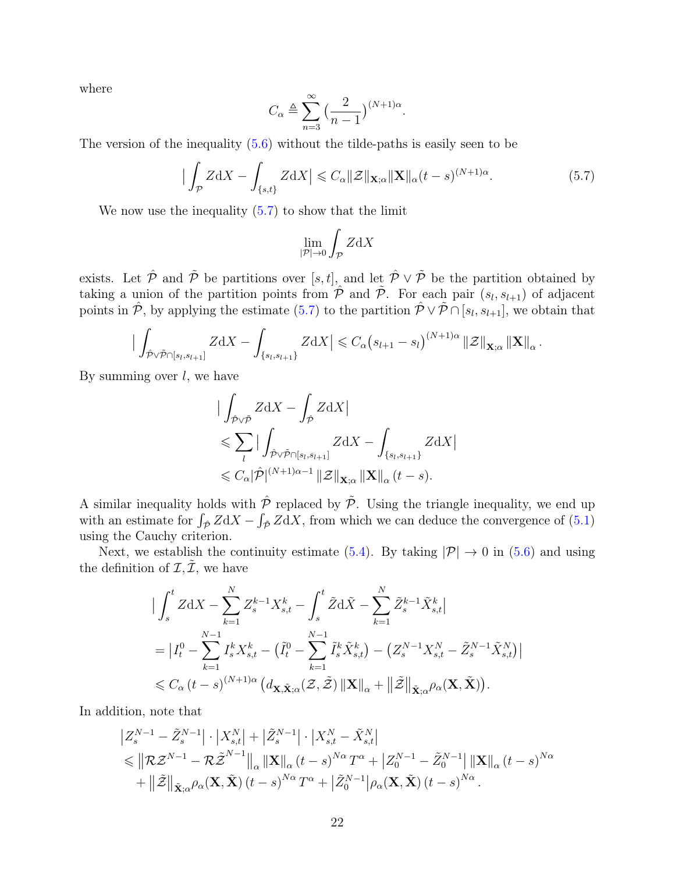where

$$
C_{\alpha} \triangleq \sum_{n=3}^{\infty} \left(\frac{2}{n-1}\right)^{(N+1)\alpha}.
$$

The version of the inequality [\(5.6\)](#page-20-1) without the tilde-paths is easily seen to be

<span id="page-21-0"></span>
$$
\left| \int_{\mathcal{P}} Z \mathrm{d}X - \int_{\{s,t\}} Z \mathrm{d}X \right| \leqslant C_{\alpha} \|Z\|_{\mathbf{X};\alpha} \|\mathbf{X}\|_{\alpha} (t-s)^{(N+1)\alpha}.
$$
 (5.7)

We now use the inequality  $(5.7)$  to show that the limit

$$
\lim_{|\mathcal{P}|\to 0} \int_{\mathcal{P}} Z \mathrm{d}X
$$

exists. Let  $\hat{\mathcal{P}}$  and  $\tilde{\mathcal{P}}$  be partitions over [s, t], and let  $\hat{\mathcal{P}} \vee \tilde{\mathcal{P}}$  be the partition obtained by taking a union of the partition points from  $\hat{\mathcal{P}}$  and  $\tilde{\mathcal{P}}$ . For each pair  $(s_l, s_{l+1})$  of adjacent points in  $\hat{\mathcal{P}}$ , by applying the estimate  $(5.7)$  to the partition  $\hat{\mathcal{P}} \vee \hat{\mathcal{P}} \cap [s_l, s_{l+1}]$ , we obtain that

$$
\Big|\int_{\hat{\mathcal{P}} \vee \tilde{\mathcal{P}} \cap [s_l, s_{l+1}]} Z \mathrm{d} X - \int_{\{s_l, s_{l+1}\}} Z \mathrm{d} X\Big| \leqslant C_{\alpha} \big(s_{l+1} - s_l\big)^{(N+1)\alpha} \|\mathcal{Z}\|_{\mathbf{X};\alpha} \|\mathbf{X}\|_{\alpha}.
$$

By summing over  $l$ , we have

$$
\begin{aligned}\n&|\int_{\hat{\mathcal{P}} \vee \tilde{\mathcal{P}}} Z \mathrm{d}X - \int_{\hat{\mathcal{P}}} Z \mathrm{d}X| \\
&\leqslant \sum_{l} |\int_{\hat{\mathcal{P}} \vee \tilde{\mathcal{P}} \cap [s_l, s_{l+1}]} Z \mathrm{d}X - \int_{\{s_l, s_{l+1}\}} Z \mathrm{d}X| \\
&\leqslant C_{\alpha} |\hat{\mathcal{P}}|^{(N+1)\alpha - 1} ||\mathcal{Z}||_{\mathbf{X};\alpha} ||\mathbf{X}||_{\alpha} (t - s).\n\end{aligned}
$$

A similar inequality holds with  $\hat{\mathcal{P}}$  replaced by  $\tilde{\mathcal{P}}$ . Using the triangle inequality, we end up with an estimate for  $\int_{\hat{P}} Z dX - \int_{\tilde{P}} Z dX$ , from which we can deduce the convergence of [\(5.1\)](#page-19-0) using the Cauchy criterion.

Next, we establish the continuity estimate [\(5.4\)](#page-19-1). By taking  $|\mathcal{P}| \to 0$  in [\(5.6\)](#page-20-1) and using the definition of  $\mathcal{I}, \mathcal{I}$ , we have

$$
\begin{split}\n&\big|\int_{s}^{t} Z \mathrm{d}X - \sum_{k=1}^{N} Z_{s}^{k-1} X_{s,t}^{k} - \int_{s}^{t} \tilde{Z} \mathrm{d} \tilde{X} - \sum_{k=1}^{N} \tilde{Z}_{s}^{k-1} \tilde{X}_{s,t}^{k}\big| \\
&= \big| I_{t}^{0} - \sum_{k=1}^{N-1} I_{s}^{k} X_{s,t}^{k} - \left(\tilde{I}_{t}^{0} - \sum_{k=1}^{N-1} \tilde{I}_{s}^{k} \tilde{X}_{s,t}^{k}\right) - \left(Z_{s}^{N-1} X_{s,t}^{N} - \tilde{Z}_{s}^{N-1} \tilde{X}_{s,t}^{N}\right)\big| \\
&\leqslant C_{\alpha} \left(t - s\right)^{(N+1)\alpha} \left(d_{\mathbf{X}, \tilde{\mathbf{X}}; \alpha}(\mathcal{Z}, \tilde{\mathcal{Z}}) \left\|\mathbf{X}\right\|_{\alpha} + \left\|\tilde{\mathcal{Z}}\right\|_{\tilde{\mathbf{X}}; \alpha} \rho_{\alpha}(\mathbf{X}, \tilde{\mathbf{X}})\right).\n\end{split}
$$

In addition, note that

$$
\begin{split} &\left|Z_{s}^{N-1}-\tilde{Z}_{s}^{N-1}\right|\cdot\left|X_{s,t}^{N}\right|+\left|\tilde{Z}_{s}^{N-1}\right|\cdot\left|X_{s,t}^{N}-\tilde{X}_{s,t}^{N}\right|\\ &\leq\left\|\mathcal{R}\mathcal{Z}^{N-1}-\mathcal{R}\tilde{\mathcal{Z}}^{N-1}\right\|_{\alpha}\left\|\mathbf{X}\right\|_{\alpha}(t-s)^{N\alpha}T^{\alpha}+\left|Z_{0}^{N-1}-\tilde{Z}_{0}^{N-1}\right|\left\|\mathbf{X}\right\|_{\alpha}(t-s)^{N\alpha}\\ &+\left\|\tilde{\mathcal{Z}}\right\|_{\tilde{\mathbf{X}};\alpha}\rho_{\alpha}(\mathbf{X},\tilde{\mathbf{X}})(t-s)^{N\alpha}T^{\alpha}+\left|\tilde{Z}_{0}^{N-1}\right|\rho_{\alpha}(\mathbf{X},\tilde{\mathbf{X}})(t-s)^{N\alpha}.\end{split}
$$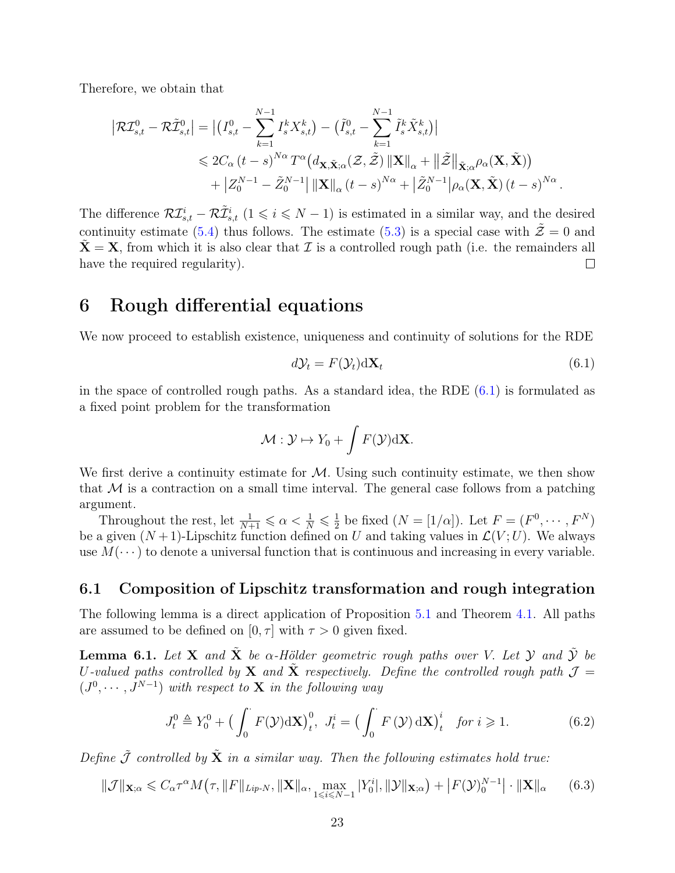Therefore, we obtain that

$$
\begin{split} \left| \mathcal{R} \mathcal{I}_{s,t}^0 - \mathcal{R} \tilde{\mathcal{I}}_{s,t}^0 \right| &= \left| \left( I_{s,t}^0 - \sum_{k=1}^{N-1} I_s^k X_{s,t}^k \right) - \left( \tilde{I}_{s,t}^0 - \sum_{k=1}^{N-1} \tilde{I}_s^k \tilde{X}_{s,t}^k \right) \right| \\ &\leqslant 2C_\alpha \left( t - s \right)^{N\alpha} T^\alpha \left( d_{\mathbf{X}, \tilde{\mathbf{X}}; \alpha} (\mathcal{Z}, \tilde{\mathcal{Z}}) \left\| \mathbf{X} \right\|_\alpha + \left\| \tilde{\mathcal{Z}} \right\|_{\tilde{\mathbf{X}}; \alpha} \rho_\alpha(\mathbf{X}, \tilde{\mathbf{X}}) \right) \\ &+ \left| Z_0^{N-1} - \tilde{Z}_0^{N-1} \right| \left\| \mathbf{X} \right\|_\alpha (t - s)^{N\alpha} + \left| \tilde{Z}_0^{N-1} \right| \rho_\alpha(\mathbf{X}, \tilde{\mathbf{X}}) \left( t - s \right)^{N\alpha} . \end{split}
$$

The difference  $\mathcal{RI}_{s,t}^i - \mathcal{R}\tilde{\mathcal{I}}_{s,t}^i$   $(1 \leqslant i \leqslant N-1)$  is estimated in a similar way, and the desired continuity estimate [\(5.4\)](#page-19-1) thus follows. The estimate [\(5.3\)](#page-19-2) is a special case with  $\tilde{z} = 0$  and  $X = X$ , from which it is also clear that  $\mathcal I$  is a controlled rough path (i.e. the remainders all have the required regularity).  $\Box$ 

### 6 Rough differential equations

We now proceed to establish existence, uniqueness and continuity of solutions for the RDE

<span id="page-22-0"></span>
$$
d\mathcal{Y}_t = F(\mathcal{Y}_t) \, \mathrm{d}\mathbf{X}_t \tag{6.1}
$$

in the space of controlled rough paths. As a standard idea, the RDE  $(6.1)$  is formulated as a fixed point problem for the transformation

$$
\mathcal{M}: \mathcal{Y} \mapsto Y_0 + \int F(\mathcal{Y}) \mathrm{d} \mathbf{X}.
$$

We first derive a continuity estimate for  $M$ . Using such continuity estimate, we then show that  $M$  is a contraction on a small time interval. The general case follows from a patching argument.

Throughout the rest, let  $\frac{1}{N+1} \leq \alpha < \frac{1}{N} \leq \frac{1}{2}$  $\frac{1}{2}$  be fixed  $(N = [1/\alpha])$ . Let  $F = (F^0, \dots, F^N)$ be a given  $(N+1)$ -Lipschitz function defined on U and taking values in  $\mathcal{L}(V;U)$ . We always use  $M(\dots)$  to denote a universal function that is continuous and increasing in every variable.

### 6.1 Composition of Lipschitz transformation and rough integration

The following lemma is a direct application of Proposition [5.1](#page-19-3) and Theorem [4.1.](#page-14-1) All paths are assumed to be defined on  $[0, \tau]$  with  $\tau > 0$  given fixed.

<span id="page-22-3"></span>**Lemma 6.1.** Let **X** and  $\tilde{\mathbf{X}}$  be  $\alpha$ -Hölder geometric rough paths over V. Let Y and  $\tilde{\mathbf{Y}}$  be U-valued paths controlled by **X** and  $\tilde{\mathbf{X}}$  respectively. Define the controlled rough path  $\mathcal{J} =$  $(J^0, \dots, J^{N-1})$  with respect to **X** in the following way

<span id="page-22-1"></span>
$$
J_t^0 \triangleq Y_0^0 + \left(\int_0^\cdot F(\mathcal{Y}) \mathrm{d} \mathbf{X}\right)_t^0, \ J_t^i = \left(\int_0^\cdot F(\mathcal{Y}) \mathrm{d} \mathbf{X}\right)_t^i \quad \text{for } i \geq 1. \tag{6.2}
$$

Define  $\tilde{\mathcal{J}}$  controlled by  $\tilde{\mathbf{X}}$  in a similar way. Then the following estimates hold true:

<span id="page-22-2"></span>
$$
\|\mathcal{J}\|_{\mathbf{X};\alpha} \leq C_{\alpha} \tau^{\alpha} M(\tau, \|F\|_{Lip-N}, \|\mathbf{X}\|_{\alpha}, \max_{1 \leq i \leq N-1} |Y_0^i|, \|\mathcal{Y}\|_{\mathbf{X};\alpha}) + |F(\mathcal{Y})_0^{N-1}| \cdot \|\mathbf{X}\|_{\alpha} \qquad (6.3)
$$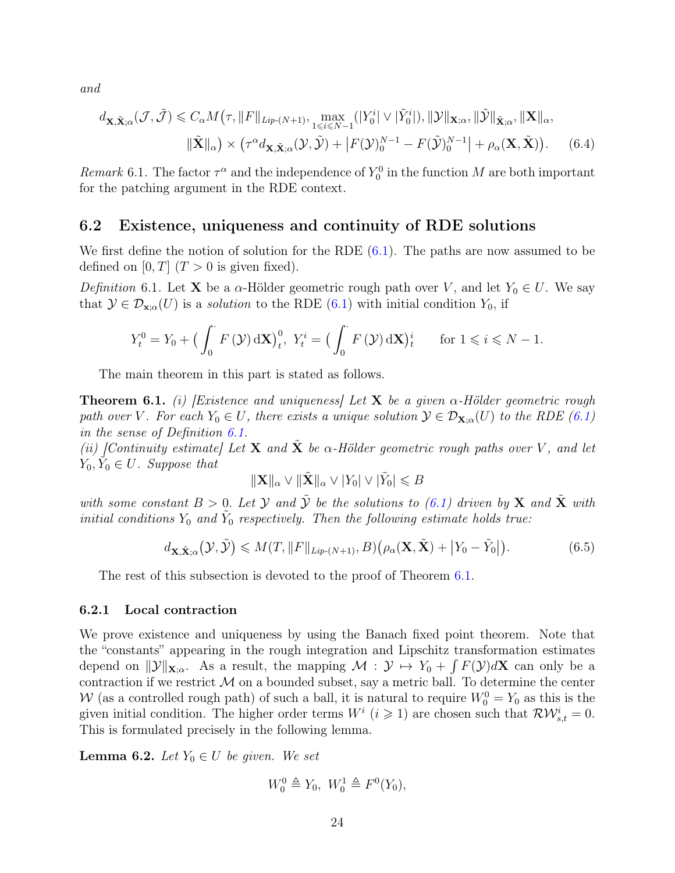and

$$
d_{\mathbf{X}, \tilde{\mathbf{X}}; \alpha}(\mathcal{J}, \tilde{\mathcal{J}}) \leq C_{\alpha} M(\tau, \|F\|_{Lip\text{-}(N+1)}, \max_{1 \leq i \leq N-1} (|Y_0^i| \vee |\tilde{Y}_0^i|), \|\mathcal{Y}\|_{\mathbf{X}; \alpha}, \|\tilde{\mathcal{Y}}\|_{\tilde{\mathbf{X}}; \alpha}, \|\mathbf{X}\|_{\alpha},
$$

$$
\|\tilde{\mathbf{X}}\|_{\alpha}) \times (\tau^{\alpha} d_{\mathbf{X}, \tilde{\mathbf{X}}; \alpha}(\mathcal{Y}, \tilde{\mathcal{Y}}) + |F(\mathcal{Y})_0^{N-1} - F(\tilde{\mathcal{Y}})_0^{N-1}| + \rho_{\alpha}(\mathbf{X}, \tilde{\mathbf{X}})). \tag{6.4}
$$

Remark 6.1. The factor  $\tau^{\alpha}$  and the independence of  $Y_0^0$  in the function M are both important for the patching argument in the RDE context.

#### <span id="page-23-1"></span>6.2 Existence, uniqueness and continuity of RDE solutions

We first define the notion of solution for the RDE  $(6.1)$ . The paths are now assumed to be defined on  $[0, T]$   $(T > 0$  is given fixed).

<span id="page-23-2"></span>Definition 6.1. Let **X** be a  $\alpha$ -Hölder geometric rough path over V, and let  $Y_0 \in U$ . We say that  $\mathcal{Y} \in \mathcal{D}_{\mathbf{x}:\alpha}(U)$  is a *solution* to the RDE [\(6.1\)](#page-22-0) with initial condition  $Y_0$ , if

$$
Y_t^0 = Y_0 + \left(\int_0^\cdot F\left(\mathcal{Y}\right) \mathrm{d} \mathbf{X}\right)_t^0, \ Y_t^i = \left(\int_0^\cdot F\left(\mathcal{Y}\right) \mathrm{d} \mathbf{X}\right)_t^i \quad \text{for } 1 \leqslant i \leqslant N - 1.
$$

The main theorem in this part is stated as follows.

<span id="page-23-0"></span>**Theorem 6.1.** (i) Existence and uniqueness Let **X** be a given  $\alpha$ -Hölder geometric rough path over V. For each  $Y_0 \in U$ , there exists a unique solution  $\mathcal{Y} \in \mathcal{D}_{\mathbf{X};\alpha}(U)$  to the RDE [\(6.1\)](#page-22-0) in the sense of Definition [6.1.](#page-23-2)

(ii) [Continuity estimate] Let **X** and  $\tilde{\mathbf{X}}$  be  $\alpha$ -Hölder geometric rough paths over V, and let  $Y_0, \tilde{Y}_0 \in U$ . Suppose that

<span id="page-23-4"></span>
$$
\|\mathbf{X}\|_{\alpha} \vee \|\tilde{\mathbf{X}}\|_{\alpha} \vee |Y_0| \vee |\tilde{Y}_0| \leqslant B
$$

with some constant  $B > 0$ . Let  $\mathcal Y$  and  $\tilde{\mathcal Y}$  be the solutions to [\(6.1\)](#page-22-0) driven by  $X$  and  $\tilde{X}$  with initial conditions  $Y_0$  and  $\tilde{Y}_0$  respectively. Then the following estimate holds true:

<span id="page-23-5"></span>
$$
d_{\mathbf{X}, \tilde{\mathbf{X}}; \alpha}(\mathcal{Y}, \tilde{\mathcal{Y}}) \leqslant M(T, \|F\|_{\text{Lip}-(N+1)}, B) \big(\rho_\alpha(\mathbf{X}, \tilde{\mathbf{X}}) + \big|Y_0 - \tilde{Y}_0\big|\big). \tag{6.5}
$$

The rest of this subsection is devoted to the proof of Theorem [6.1.](#page-23-0)

#### 6.2.1 Local contraction

We prove existence and uniqueness by using the Banach fixed point theorem. Note that the "constants" appearing in the rough integration and Lipschitz transformation estimates depend on  $\|\mathcal{Y}\|_{\mathbf{X};\alpha}$ . As a result, the mapping  $\mathcal{M} : \mathcal{Y} \mapsto Y_0 + \int F(\mathcal{Y})d\mathbf{X}$  can only be a contraction if we restrict  $M$  on a bounded subset, say a metric ball. To determine the center W (as a controlled rough path) of such a ball, it is natural to require  $W_0^0 = Y_0$  as this is the given initial condition. The higher order terms  $W^i$   $(i \geq 1)$  are chosen such that  $\mathcal{RW}^i_{s,t} = 0$ . This is formulated precisely in the following lemma.

<span id="page-23-3"></span>**Lemma 6.2.** Let  $Y_0 \in U$  be given. We set

$$
W_0^0 \triangleq Y_0, \ W_0^1 \triangleq F^0(Y_0),
$$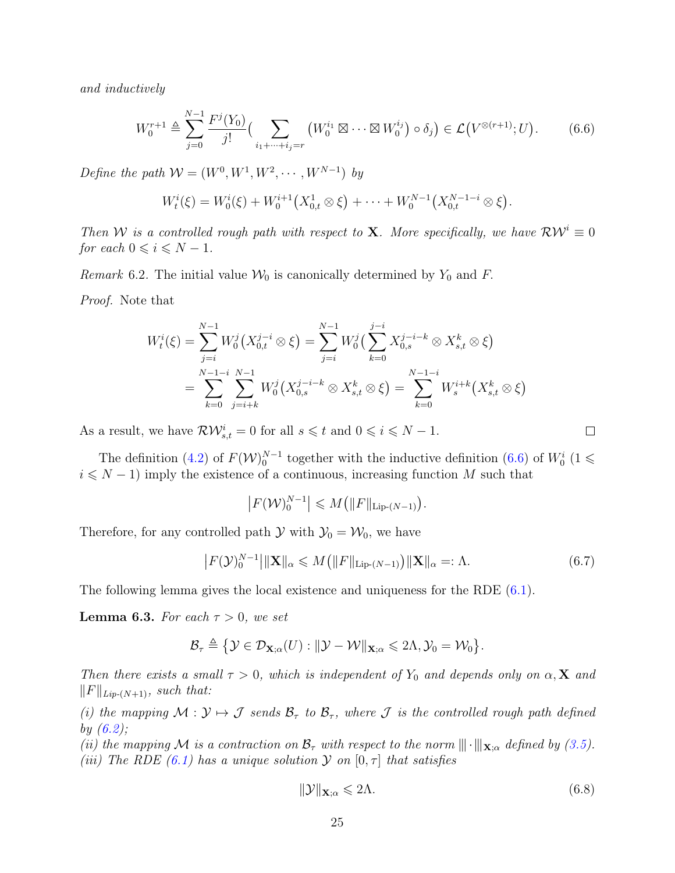and inductively

<span id="page-24-0"></span>
$$
W_0^{r+1} \triangleq \sum_{j=0}^{N-1} \frac{F^j(Y_0)}{j!} \Big( \sum_{i_1 + \dots + i_j = r} \left( W_0^{i_1} \boxtimes \dots \boxtimes W_0^{i_j} \right) \circ \delta_j \Big) \in \mathcal{L}\left( V^{\otimes (r+1)}; U \right). \tag{6.6}
$$

Define the path  $W = (W^0, W^1, W^2, \cdots, W^{N-1})$  by

$$
W_t^i(\xi) = W_0^i(\xi) + W_0^{i+1}(X_{0,t}^1 \otimes \xi) + \cdots + W_0^{N-1}(X_{0,t}^{N-1-i} \otimes \xi).
$$

Then W is a controlled rough path with respect to **X**. More specifically, we have  $\mathcal{RW}^i \equiv 0$ for each  $0 \leq i \leq N - 1$ .

Remark 6.2. The initial value  $\mathcal{W}_0$  is canonically determined by  $Y_0$  and F.

Proof. Note that

$$
W_t^i(\xi) = \sum_{j=i}^{N-1} W_0^j \left( X_{0,t}^{j-i} \otimes \xi \right) = \sum_{j=i}^{N-1} W_0^j \left( \sum_{k=0}^{j-i} X_{0,s}^{j-i-k} \otimes X_{s,t}^k \otimes \xi \right)
$$
  
= 
$$
\sum_{k=0}^{N-1-i} \sum_{j=i+k}^{N-1} W_0^j \left( X_{0,s}^{j-i-k} \otimes X_{s,t}^k \otimes \xi \right) = \sum_{k=0}^{N-1-i} W_s^{i+k} \left( X_{s,t}^k \otimes \xi \right)
$$

As a result, we have  $\mathcal{RW}_{s,t}^i = 0$  for all  $s \leq t$  and  $0 \leq i \leq N - 1$ .

The definition [\(4.2\)](#page-9-1) of  $F(\mathcal{W})_0^{N-1}$  together with the inductive definition [\(6.6\)](#page-24-0) of  $W_0^i$  (1  $\leq$  $i \leq N - 1$ ) imply the existence of a continuous, increasing function M such that

$$
\left|F(\mathcal{W})_0^{N-1}\right| \leqslant M\big(\|F\|_{\text{Lip-}(N-1)}\big).
$$

Therefore, for any controlled path  $\mathcal{Y}$  with  $\mathcal{Y}_0 = \mathcal{W}_0$ , we have

<span id="page-24-3"></span>
$$
\left| F(\mathcal{Y})_0^{N-1} \right| \| \mathbf{X} \|_{\alpha} \leqslant M \left( \| F \|_{\text{Lip-}(N-1)} \right) \| \mathbf{X} \|_{\alpha} =: \Lambda. \tag{6.7}
$$

The following lemma gives the local existence and uniqueness for the RDE [\(6.1\)](#page-22-0).

<span id="page-24-2"></span>**Lemma 6.3.** For each  $\tau > 0$ , we set

$$
\mathcal{B}_{\tau} \triangleq \{ \mathcal{Y} \in \mathcal{D}_{\mathbf{X};\alpha}(U) : ||\mathcal{Y} - \mathcal{W}||_{\mathbf{X};\alpha} \leqslant 2\Lambda, \mathcal{Y}_0 = \mathcal{W}_0 \}.
$$

Then there exists a small  $\tau > 0$ , which is independent of Y<sub>0</sub> and depends only on  $\alpha$ , **X** and  $||F||_{Lip-(N+1)}$ , such that:

(i) the mapping  $M: \mathcal{Y} \mapsto \mathcal{J}$  sends  $\mathcal{B}_{\tau}$  to  $\mathcal{B}_{\tau}$ , where  $\mathcal{J}$  is the controlled rough path defined by  $(6.2)$ ;

(ii) the mapping M is a contraction on  $\mathcal{B}_{\tau}$  with respect to the norm  $\|\cdot\|_{\mathbf{X};\alpha}$  defined by [\(3.5\)](#page-7-4). (iii) The RDE [\(6.1\)](#page-22-0) has a unique solution  $\mathcal Y$  on  $[0, \tau]$  that satisfies

<span id="page-24-1"></span>
$$
\|\mathcal{Y}\|_{\mathbf{X};\alpha} \leqslant 2\Lambda. \tag{6.8}
$$

 $\Box$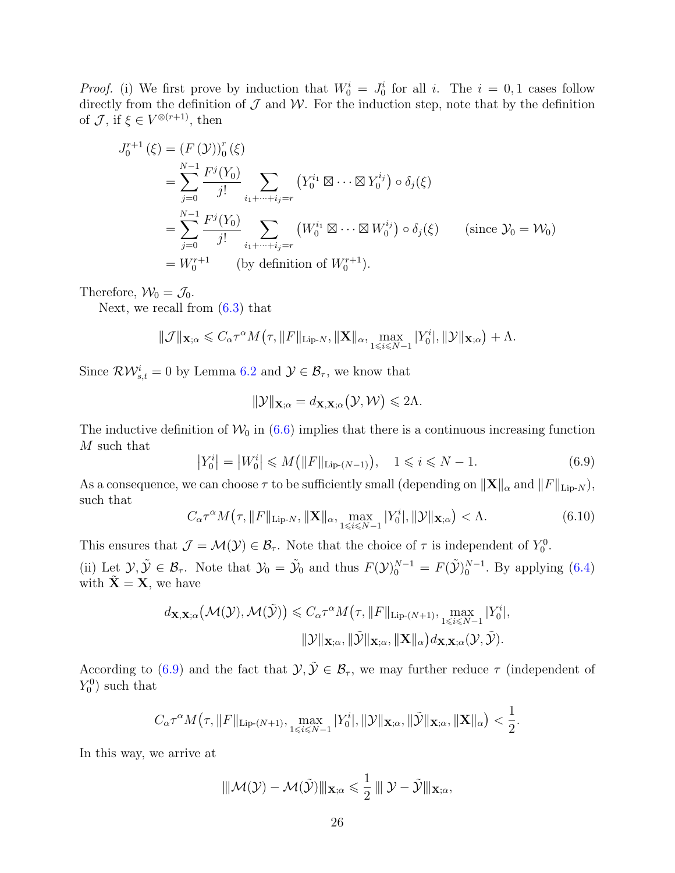*Proof.* (i) We first prove by induction that  $W_0^i = J_0^i$  for all i. The  $i = 0, 1$  cases follow directly from the definition of  $\mathcal J$  and  $\mathcal W$ . For the induction step, note that by the definition of  $\mathcal{J}$ , if  $\xi \in V^{\otimes (r+1)}$ , then

$$
J_0^{r+1}(\xi) = (F(\mathcal{Y}))_0^r(\xi)
$$
  
=  $\sum_{j=0}^{N-1} \frac{F^j(Y_0)}{j!} \sum_{i_1 + \dots + i_j = r} (Y_0^{i_1} \boxtimes \dots \boxtimes Y_0^{i_j}) \circ \delta_j(\xi)$   
=  $\sum_{j=0}^{N-1} \frac{F^j(Y_0)}{j!} \sum_{i_1 + \dots + i_j = r} (W_0^{i_1} \boxtimes \dots \boxtimes W_0^{i_j}) \circ \delta_j(\xi)$  (since  $\mathcal{Y}_0 = \mathcal{W}_0$ )  
=  $W_0^{r+1}$  (by definition of  $W_0^{r+1}$ ).

Therefore,  $\mathcal{W}_0 = \mathcal{J}_0$ .

Next, we recall from [\(6.3\)](#page-22-2) that

$$
\|\mathcal{J}\|_{\mathbf{X};\alpha} \leq C_{\alpha} \tau^{\alpha} M(\tau, \|F\|_{\text{Lip-}N}, \|\mathbf{X}\|_{\alpha}, \max_{1 \leq i \leq N-1} |Y_0^i|, \|\mathcal{Y}\|_{\mathbf{X};\alpha}) + \Lambda.
$$

Since  $\mathcal{RW}_{s,t}^i = 0$  by Lemma [6.2](#page-23-3) and  $\mathcal{Y} \in \mathcal{B}_{\tau}$ , we know that

$$
\|\mathcal{Y}\|_{\mathbf{X};\alpha} = d_{\mathbf{X},\mathbf{X};\alpha}(\mathcal{Y},\mathcal{W}) \leq 2\Lambda.
$$

The inductive definition of  $\mathcal{W}_0$  in [\(6.6\)](#page-24-0) implies that there is a continuous increasing function M such that

<span id="page-25-0"></span>
$$
|Y_0^i| = |W_0^i| \le M(|F||_{\text{Lip}-(N-1)}), \quad 1 \le i \le N-1. \tag{6.9}
$$

As a consequence, we can choose  $\tau$  to be sufficiently small (depending on  $||\mathbf{X}||_{\alpha}$  and  $||F||_{\text{Lip-}N}$ ), such that

$$
C_{\alpha} \tau^{\alpha} M(\tau, \|F\|_{\text{Lip-}N}, \|\mathbf{X}\|_{\alpha}, \max_{1 \leqslant i \leqslant N-1} |Y_0^i|, \|\mathcal{Y}\|_{\mathbf{X};\alpha}) < \Lambda. \tag{6.10}
$$

This ensures that  $\mathcal{J} = \mathcal{M}(\mathcal{Y}) \in \mathcal{B}_{\tau}$ . Note that the choice of  $\tau$  is independent of  $Y_0^0$ .

(ii) Let  $\mathcal{Y}, \tilde{\mathcal{Y}} \in \mathcal{B}_{\tau}$ . Note that  $\mathcal{Y}_0 = \tilde{\mathcal{Y}}_0$  and thus  $F(\mathcal{Y})_0^{N-1} = F(\tilde{\mathcal{Y}})_0^{N-1}$ . By applying [\(6.4\)](#page-23-4) with  $\tilde{\mathbf{X}} = \mathbf{X}$ , we have

$$
d_{\mathbf{X}, \mathbf{X}; \alpha} \big(\mathcal{M}(\mathcal{Y}), \mathcal{M}(\tilde{\mathcal{Y}})\big) \leq C_{\alpha} \tau^{\alpha} M\big(\tau, \|F\|_{\text{Lip-}(N+1)}, \max_{1 \leq i \leq N-1} |Y_0^i|,
$$
  

$$
\|\mathcal{Y}\|_{\mathbf{X}; \alpha}, \|\tilde{\mathcal{Y}}\|_{\mathbf{X}; \alpha}, \|\mathbf{X}\|_{\alpha} \big) d_{\mathbf{X}, \mathbf{X}; \alpha}(\mathcal{Y}, \tilde{\mathcal{Y}}).
$$

According to [\(6.9\)](#page-25-0) and the fact that  $\mathcal{Y}, \tilde{\mathcal{Y}} \in \mathcal{B}_{\tau}$ , we may further reduce  $\tau$  (independent of  $Y_0^0$ ) such that

$$
C_{\alpha} \tau^{\alpha} M(\tau, \|F\|_{\text{Lip-}(N+1)}, \max_{1 \leq i \leq N-1} |Y_0^i|, \|\mathcal{Y}\|_{\mathbf{X};\alpha}, \|\tilde{\mathcal{Y}}\|_{\mathbf{X};\alpha}, \|\mathbf{X}\|_{\alpha}) < \frac{1}{2}.
$$

In this way, we arrive at

$$
\|\mathcal{M}(\mathcal{Y}) - \mathcal{M}(\tilde{\mathcal{Y}})\|_{\mathbf{X};\alpha} \leqslant \frac{1}{2} \|\mathcal{Y} - \tilde{\mathcal{Y}}\|_{\mathbf{X};\alpha},
$$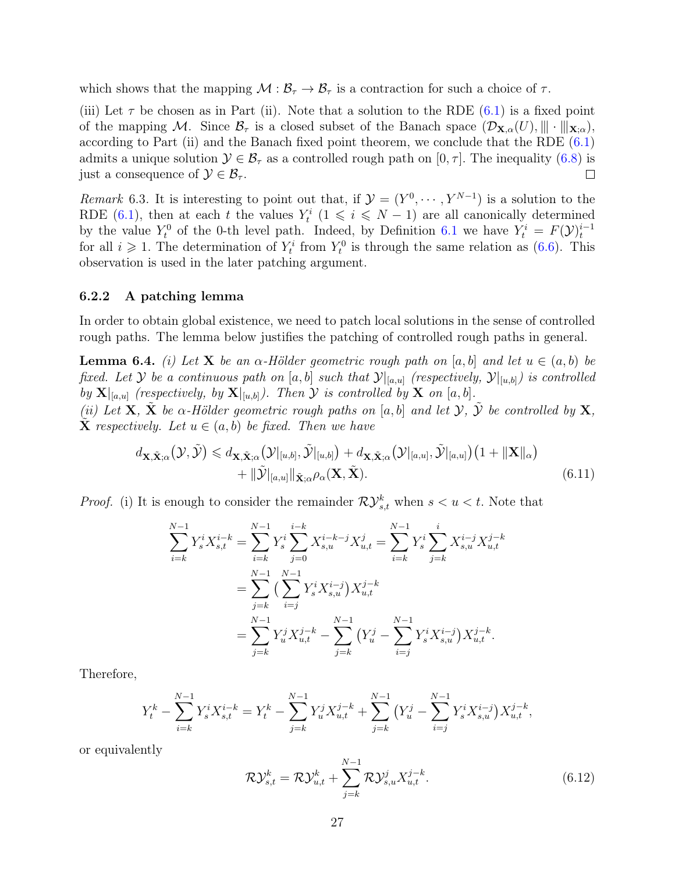which shows that the mapping  $\mathcal{M} : \mathcal{B}_{\tau} \to \mathcal{B}_{\tau}$  is a contraction for such a choice of  $\tau$ .

(iii) Let  $\tau$  be chosen as in Part (ii). Note that a solution to the RDE [\(6.1\)](#page-22-0) is a fixed point of the mapping M. Since  $\mathcal{B}_{\tau}$  is a closed subset of the Banach space  $(\mathcal{D}_{\mathbf{X},\alpha}(U), \|\|\cdot\|_{\mathbf{X};\alpha}),$ according to Part (ii) and the Banach fixed point theorem, we conclude that the RDE  $(6.1)$ admits a unique solution  $\mathcal{Y} \in \mathcal{B}_{\tau}$  as a controlled rough path on  $[0, \tau]$ . The inequality  $(6.8)$  is just a consequence of  $\mathcal{Y} \in \mathcal{B}_{\tau}$ .  $\Box$ 

<span id="page-26-2"></span>Remark 6.3. It is interesting to point out that, if  $\mathcal{Y} = (Y^0, \dots, Y^{N-1})$  is a solution to the RDE [\(6.1\)](#page-22-0), then at each t the values  $Y_t^i$  ( $1 \leq i \leq N-1$ ) are all canonically determined by the value  $Y_t^0$  of the 0-th level path. Indeed, by Definition [6.1](#page-23-2) we have  $Y_t^i = F(\mathcal{Y})_t^{i-1}$ for all  $i \geqslant 1$ . The determination of  $Y_t^i$  from  $Y_t^0$  is through the same relation as [\(6.6\)](#page-24-0). This observation is used in the later patching argument.

#### 6.2.2 A patching lemma

In order to obtain global existence, we need to patch local solutions in the sense of controlled rough paths. The lemma below justifies the patching of controlled rough paths in general.

<span id="page-26-3"></span>**Lemma 6.4.** (i) Let **X** be an  $\alpha$ -Hölder geometric rough path on [a, b] and let  $u \in (a, b)$  be fixed. Let Y be a continuous path on [a, b] such that  $\mathcal{Y}|_{[a,u]}$  (respectively,  $\mathcal{Y}|_{[u,b]}$ ) is controlled by  $\mathbf{X}|_{[a,u]}$  (respectively, by  $\mathbf{X}|_{[u,b]}$ ). Then  $\mathcal Y$  is controlled by  $\mathbf X$  on  $[a,b]$ .

(ii) Let **X**,  $\tilde{\mathbf{X}}$  be  $\alpha$ -Hölder geometric rough paths on [a, b] and let  $\mathcal{Y}$ ,  $\tilde{\mathcal{Y}}$  be controlled by **X**, **X** respectively. Let  $u \in (a, b)$  be fixed. Then we have

$$
d_{\mathbf{X}, \tilde{\mathbf{X}}; \alpha}(\mathcal{Y}, \tilde{\mathcal{Y}}) \leq d_{\mathbf{X}, \tilde{\mathbf{X}}; \alpha}(\mathcal{Y}|_{[u,b]}, \tilde{\mathcal{Y}}|_{[u,b]}) + d_{\mathbf{X}, \tilde{\mathbf{X}}; \alpha}(\mathcal{Y}|_{[a,u]}, \tilde{\mathcal{Y}}|_{[a,u]}) \left(1 + \|\mathbf{X}\|_{\alpha}\right) + \|\tilde{\mathcal{Y}}|_{[a,u]}\|_{\tilde{\mathbf{X}}; \alpha} \rho_{\alpha}(\mathbf{X}, \tilde{\mathbf{X}}).
$$
\n(6.11)

*Proof.* (i) It is enough to consider the remainder  $\mathcal{RV}_{s,t}^k$  when  $s < u < t$ . Note that

<span id="page-26-1"></span>
$$
\sum_{i=k}^{N-1} Y_s^i X_{s,t}^{i-k} = \sum_{i=k}^{N-1} Y_s^i \sum_{j=0}^{i-k} X_{s,u}^{i-k-j} X_{u,t}^j = \sum_{i=k}^{N-1} Y_s^i \sum_{j=k}^i X_{s,u}^{i-j} X_{u,t}^{j-k}
$$
  
= 
$$
\sum_{j=k}^{N-1} \left( \sum_{i=j}^{N-1} Y_s^i X_{s,u}^{i-j} \right) X_{u,t}^{j-k}
$$
  
= 
$$
\sum_{j=k}^{N-1} Y_u^j X_{u,t}^{j-k} - \sum_{j=k}^{N-1} \left( Y_u^j - \sum_{i=j}^{N-1} Y_s^i X_{s,u}^{i-j} \right) X_{u,t}^{j-k}.
$$

Therefore,

$$
Y_t^k - \sum_{i=k}^{N-1} Y_s^i X_{s,t}^{i-k} = Y_t^k - \sum_{j=k}^{N-1} Y_u^j X_{u,t}^{j-k} + \sum_{j=k}^{N-1} (Y_u^j - \sum_{i=j}^{N-1} Y_s^i X_{s,u}^{i-j}) X_{u,t}^{j-k},
$$

or equivalently

<span id="page-26-0"></span>
$$
\mathcal{RV}_{s,t}^k = \mathcal{RV}_{u,t}^k + \sum_{j=k}^{N-1} \mathcal{RV}_{s,u}^j X_{u,t}^{j-k}.
$$
\n(6.12)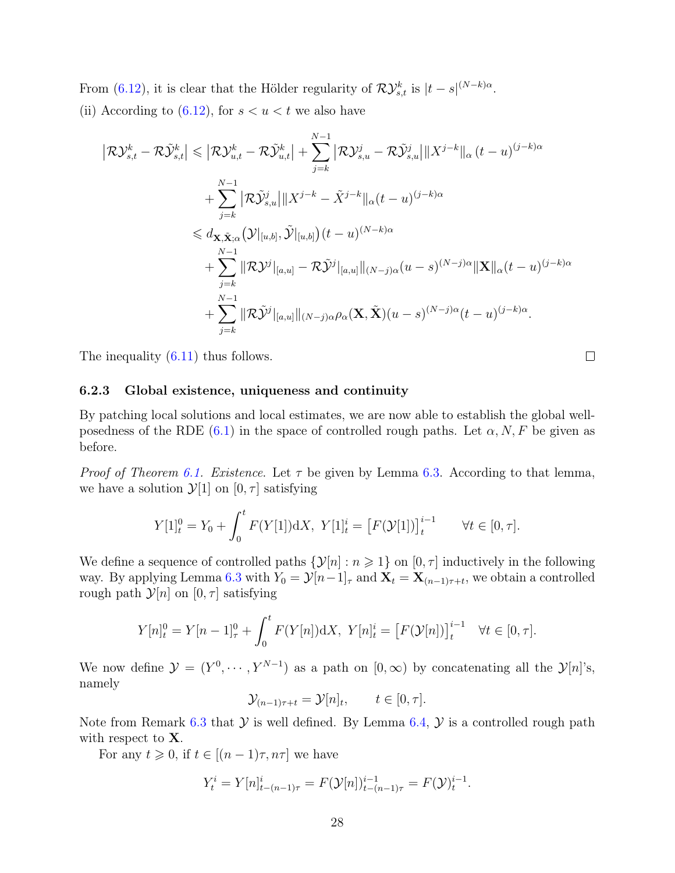From [\(6.12\)](#page-26-0), it is clear that the Hölder regularity of  $\mathcal{RV}_{s,t}^k$  is  $|t-s|^{(N-k)\alpha}$ .

(ii) According to  $(6.12)$ , for  $s < u < t$  we also have

$$
\begin{split}\n\left|\mathcal{R}\mathcal{Y}_{s,t}^{k} - \mathcal{R}\tilde{\mathcal{Y}}_{s,t}^{k}\right| &\leq \left|\mathcal{R}\mathcal{Y}_{u,t}^{k} - \mathcal{R}\tilde{\mathcal{Y}}_{u,t}^{k}\right| + \sum_{j=k}^{N-1} \left|\mathcal{R}\mathcal{Y}_{s,u}^{j} - \mathcal{R}\tilde{\mathcal{Y}}_{s,u}^{j}\right| \|X^{j-k}\|_{\alpha} (t-u)^{(j-k)\alpha} \\
&\quad + \sum_{j=k}^{N-1} \left|\mathcal{R}\tilde{\mathcal{Y}}_{s,u}^{j}\right| \|X^{j-k} - \tilde{X}^{j-k}\|_{\alpha} (t-u)^{(j-k)\alpha} \\
&\leq d_{\mathbf{X}, \tilde{\mathbf{X}}; \alpha} \left(\mathcal{Y}|_{[u,b]}, \tilde{\mathcal{Y}}|_{[u,b]}\right) (t-u)^{(N-k)\alpha} \\
&\quad + \sum_{j=k}^{N-1} \|\mathcal{R}\mathcal{Y}^{j}\|_{[a,u]} - \mathcal{R}\tilde{\mathcal{Y}}^{j}\|_{[a,u]}\|_{(N-j)\alpha} (u-s)^{(N-j)\alpha} \|\mathbf{X}\|_{\alpha} (t-u)^{(j-k)\alpha} \\
&\quad + \sum_{j=k}^{N-1} \|\mathcal{R}\tilde{\mathcal{Y}}^{j}\|_{[a,u]}\|_{(N-j)\alpha} \rho_{\alpha}(\mathbf{X}, \tilde{\mathbf{X}})(u-s)^{(N-j)\alpha} (t-u)^{(j-k)\alpha}.\n\end{split}
$$

The inequality  $(6.11)$  thus follows.

6.2.3 Global existence, uniqueness and continuity

By patching local solutions and local estimates, we are now able to establish the global well-posedness of the RDE [\(6.1\)](#page-22-0) in the space of controlled rough paths. Let  $\alpha, N, F$  be given as before.

 $\Box$ 

*Proof of Theorem [6.1.](#page-23-0) Existence.* Let  $\tau$  be given by Lemma [6.3.](#page-24-2) According to that lemma, we have a solution  $\mathcal{Y}[1]$  on  $[0, \tau]$  satisfying

$$
Y[1]_t^0 = Y_0 + \int_0^t F(Y[1]) \mathrm{d}X, \ Y[1]_t^i = \left[ F(\mathcal{Y}[1]) \right]_t^{i-1} \quad \forall t \in [0, \tau].
$$

We define a sequence of controlled paths  $\{\mathcal{Y}[n] : n \geq 1\}$  on  $[0, \tau]$  inductively in the following way. By applying Lemma [6.3](#page-24-2) with  $Y_0 = \mathcal{Y}[n-1]_\tau$  and  $\mathbf{X}_t = \mathbf{X}_{(n-1)\tau+t}$ , we obtain a controlled rough path  $\mathcal{Y}[n]$  on  $[0, \tau]$  satisfying

$$
Y[n]_t^0 = Y[n-1]_\tau^0 + \int_0^t F(Y[n]) \, \mathrm{d}X, \ Y[n]_t^i = \left[ F(\mathcal{Y}[n]) \right]_t^{i-1} \quad \forall t \in [0, \tau].
$$

We now define  $\mathcal{Y} = (Y^0, \dots, Y^{N-1})$  as a path on  $[0, \infty)$  by concatenating all the  $\mathcal{Y}[n]$ 's, namely

$$
\mathcal{Y}_{(n-1)\tau+t} = \mathcal{Y}[n]_t, \qquad t \in [0, \tau].
$$

Note from Remark [6.3](#page-26-2) that  $\mathcal Y$  is well defined. By Lemma [6.4,](#page-26-3)  $\mathcal Y$  is a controlled rough path with respect to **X**.

For any  $t \geq 0$ , if  $t \in [(n-1)\tau, n\tau]$  we have

$$
Y_t^i = Y[n]_{t-(n-1)\tau}^i = F(\mathcal{Y}[n])_{t-(n-1)\tau}^{i-1} = F(\mathcal{Y})_t^{i-1}.
$$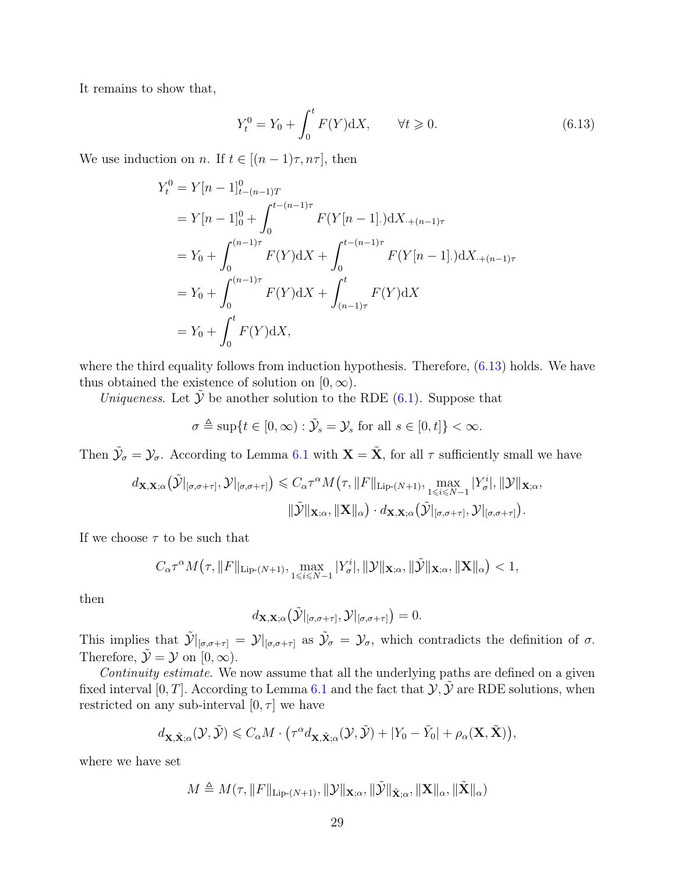It remains to show that,

<span id="page-28-0"></span>
$$
Y_t^0 = Y_0 + \int_0^t F(Y) \, \mathrm{d}X, \qquad \forall t \ge 0. \tag{6.13}
$$

We use induction on n. If  $t \in [(n-1)\tau, n\tau]$ , then

$$
Y_t^0 = Y[n-1]_{t-(n-1)T}^0
$$
  
=  $Y[n-1]_0^0 + \int_0^{t-(n-1)\tau} F(Y[n-1]) dX_{-(n-1)\tau}$   
=  $Y_0 + \int_0^{(n-1)\tau} F(Y) dX + \int_0^{t-(n-1)\tau} F(Y[n-1]) dX_{-(n-1)\tau}$   
=  $Y_0 + \int_0^{(n-1)\tau} F(Y) dX + \int_{(n-1)\tau}^t F(Y) dX$   
=  $Y_0 + \int_0^t F(Y) dX$ ,

where the third equality follows from induction hypothesis. Therefore,  $(6.13)$  holds. We have thus obtained the existence of solution on  $[0, \infty)$ .

Uniqueness. Let  $\tilde{y}$  be another solution to the RDE [\(6.1\)](#page-22-0). Suppose that

$$
\sigma \triangleq \sup\{t \in [0,\infty) : \tilde{\mathcal{Y}}_s = \mathcal{Y}_s \text{ for all } s \in [0,t]\} < \infty.
$$

Then  $\tilde{\mathcal{Y}}_{\sigma} = \mathcal{Y}_{\sigma}$ . According to Lemma [6.1](#page-22-3) with  $\mathbf{X} = \tilde{\mathbf{X}}$ , for all  $\tau$  sufficiently small we have

$$
d_{\mathbf{X},\mathbf{X};\alpha}(\tilde{\mathcal{Y}}|_{[\sigma,\sigma+\tau]},\mathcal{Y}|_{[\sigma,\sigma+\tau]}) \leq C_{\alpha}\tau^{\alpha}M(\tau,\|F\|_{\text{Lip-}(N+1)},\max_{1\leqslant i\leqslant N-1}|Y^{i}_{\sigma}|,\|\mathcal{Y}\|_{\mathbf{X};\alpha},\|\tilde{\mathbf{Y}}\|_{\mathbf{X};\alpha},\|\mathbf{X}\|_{\alpha})\cdot d_{\mathbf{X},\mathbf{X};\alpha}(\tilde{\mathcal{Y}}|_{[\sigma,\sigma+\tau]},\mathcal{Y}|_{[\sigma,\sigma+\tau]}).
$$

If we choose  $\tau$  to be such that

$$
C_{\alpha} \tau^{\alpha} M(\tau, \|F\|_{\text{Lip-}(N+1)}, \max_{1 \leq i \leq N-1} |Y_{\sigma}^{i}|, \|\mathcal{Y}\|_{\mathbf{X};\alpha}, \|\tilde{\mathcal{Y}}\|_{\mathbf{X};\alpha}, \|\mathbf{X}\|_{\alpha}) < 1,
$$

then

$$
d_{\mathbf{X},\mathbf{X};\alpha}\big(\tilde{\mathcal{Y}}|_{[\sigma,\sigma+\tau]},\mathcal{Y}|_{[\sigma,\sigma+\tau]}\big)=0.
$$

This implies that  $\tilde{\mathcal{Y}}|_{[\sigma,\sigma+\tau]} = \mathcal{Y}|_{[\sigma,\sigma+\tau]}$  as  $\tilde{\mathcal{Y}}_{\sigma} = \mathcal{Y}_{\sigma}$ , which contradicts the definition of  $\sigma$ . Therefore,  $\tilde{\mathcal{Y}} = \mathcal{Y}$  on  $[0, \infty)$ .

Continuity estimate. We now assume that all the underlying paths are defined on a given fixed interval [0, T]. According to Lemma [6.1](#page-22-3) and the fact that  $\mathcal{Y}, \tilde{\mathcal{Y}}$  are RDE solutions, when restricted on any sub-interval  $[0, \tau]$  we have

$$
d_{\mathbf{X}, \tilde{\mathbf{X}}; \alpha}(\mathcal{Y}, \tilde{\mathcal{Y}}) \leq C_{\alpha} M \cdot (\tau^{\alpha} d_{\mathbf{X}, \tilde{\mathbf{X}}; \alpha}(\mathcal{Y}, \tilde{\mathcal{Y}}) + |Y_0 - \tilde{Y}_0| + \rho_{\alpha}(\mathbf{X}, \tilde{\mathbf{X}})),
$$

where we have set

$$
M \triangleq M(\tau, \|F\|_{\text{Lip-}(N+1)}, \|\mathcal{Y}\|_{\mathbf{X};\alpha}, \|\tilde{\mathcal{Y}}\|_{\tilde{\mathbf{X}};\alpha}, \|\mathbf{X}\|_{\alpha}, \|\tilde{\mathbf{X}}\|_{\alpha})
$$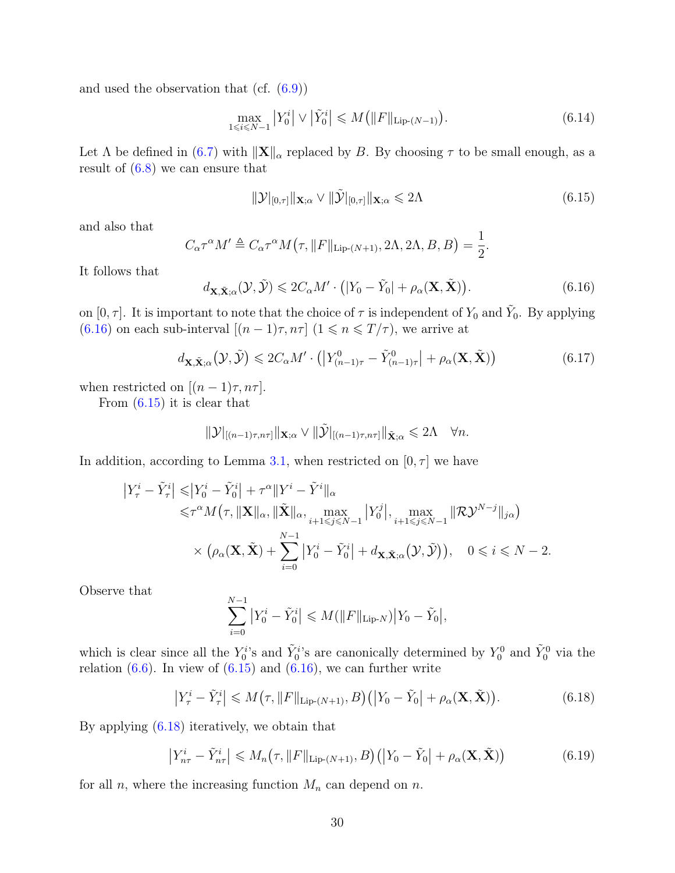and used the observation that (cf. [\(6.9\)](#page-25-0))

$$
\max_{1 \le i \le N-1} |Y_0^i| \vee |\tilde{Y}_0^i| \le M (||F||_{\text{Lip-}(N-1)}). \tag{6.14}
$$

Let  $\Lambda$  be defined in [\(6.7\)](#page-24-3) with  $\|\mathbf{X}\|_{\alpha}$  replaced by B. By choosing  $\tau$  to be small enough, as a result of  $(6.8)$  we can ensure that

<span id="page-29-1"></span>
$$
\|\mathcal{Y}|_{[0,\tau]}\|_{\mathbf{X};\alpha} \vee \|\tilde{\mathcal{Y}}|_{[0,\tau]}\|_{\mathbf{X};\alpha} \leq 2\Lambda
$$
\n(6.15)

and also that

$$
C_{\alpha} \tau^{\alpha} M' \triangleq C_{\alpha} \tau^{\alpha} M(\tau, \|F\|_{\text{Lip-}(N+1)}, 2\Lambda, 2\Lambda, B, B) = \frac{1}{2}.
$$

It follows that

<span id="page-29-0"></span>
$$
d_{\mathbf{X}, \tilde{\mathbf{X}}; \alpha}(\mathcal{Y}, \tilde{\mathcal{Y}}) \leqslant 2C_{\alpha}M' \cdot (|Y_0 - \tilde{Y}_0| + \rho_{\alpha}(\mathbf{X}, \tilde{\mathbf{X}})). \tag{6.16}
$$

on  $[0, \tau]$ . It is important to note that the choice of  $\tau$  is independent of  $Y_0$  and  $\tilde{Y}_0$ . By applying [\(6.16\)](#page-29-0) on each sub-interval  $[(n-1)\tau, n\tau]$   $(1 \le n \le T/\tau)$ , we arrive at

<span id="page-29-3"></span>
$$
d_{\mathbf{X}, \tilde{\mathbf{X}}; \alpha}(\mathcal{Y}, \tilde{\mathcal{Y}}) \leqslant 2C_{\alpha}M' \cdot \left( \left| Y_{(n-1)\tau}^{0} - \tilde{Y}_{(n-1)\tau}^{0} \right| + \rho_{\alpha}(\mathbf{X}, \tilde{\mathbf{X}}) \right) \tag{6.17}
$$

when restricted on  $[(n-1)\tau, n\tau]$ .

From  $(6.15)$  it is clear that

$$
\|\mathcal{Y}\|_{[(n-1)\tau,n\tau]}\|\mathbf{x}_{;\alpha} \vee \|\tilde{\mathcal{Y}}\|_{[(n-1)\tau,n\tau]}\|\tilde{\mathbf{x}}_{;\alpha} \leq 2\Lambda \quad \forall n.
$$

In addition, according to Lemma [3.1,](#page-6-1) when restricted on  $[0, \tau]$  we have

$$
\begin{split} \left|Y_{\tau}^{i}-\tilde{Y}_{\tau}^{i}\right| \leqslant & \left|Y_{0}^{i}-\tilde{Y}_{0}^{i}\right|+\tau^{\alpha}\|Y^{i}-\tilde{Y}^{i}\|_{\alpha} \\ \leqslant & \tau^{\alpha}M\big(\tau,\|\mathbf{X}\|_{\alpha},\|\tilde{\mathbf{X}}\|_{\alpha},\max_{i+1\leqslant j\leqslant N-1}\left|Y_{0}^{j}\right|,\max_{i+1\leqslant j\leqslant N-1}\|\mathcal{R}\mathcal{Y}^{N-j}\|_{j\alpha}\big) \\ & \times \big(\rho_{\alpha}(\mathbf{X},\tilde{\mathbf{X}})+\sum_{i=0}^{N-1}\left|Y_{0}^{i}-\tilde{Y}_{0}^{i}\right|+d_{\mathbf{X},\tilde{\mathbf{X}};\alpha}\big(\mathcal{Y},\tilde{\mathcal{Y}}\big)\big), \quad 0\leqslant i\leqslant N-2. \end{split}
$$

Observe that

$$
\sum_{i=0}^{N-1} |Y_0^i - \tilde{Y}_0^i| \leq M(||F||_{\text{Lip-}N}) |Y_0 - \tilde{Y}_0|,
$$

which is clear since all the  $Y_0^{i}$ 's and  $\tilde{Y}_0^{i}$ 's are canonically determined by  $Y_0^0$  and  $\tilde{Y}_0^0$  via the relation  $(6.6)$ . In view of  $(6.15)$  and  $(6.16)$ , we can further write

<span id="page-29-2"></span>
$$
\left| Y_{\tau}^{i} - \tilde{Y}_{\tau}^{i} \right| \leqslant M\big(\tau, \|F\|_{\text{Lip}(\mathbb{N}+1)}, B\big) \big( \big| Y_{0} - \tilde{Y}_{0} \big| + \rho_{\alpha}(\mathbf{X}, \tilde{\mathbf{X}}) \big). \tag{6.18}
$$

By applying [\(6.18\)](#page-29-2) iteratively, we obtain that

<span id="page-29-4"></span>
$$
\left| Y_{n\tau}^{i} - \tilde{Y}_{n\tau}^{i} \right| \leqslant M_{n}(\tau, \|F\|_{\text{Lip}-(N+1)}, B) \left( \left| Y_{0} - \tilde{Y}_{0} \right| + \rho_{\alpha}(\mathbf{X}, \tilde{\mathbf{X}}) \right) \tag{6.19}
$$

for all  $n$ , where the increasing function  $M_n$  can depend on  $n$ .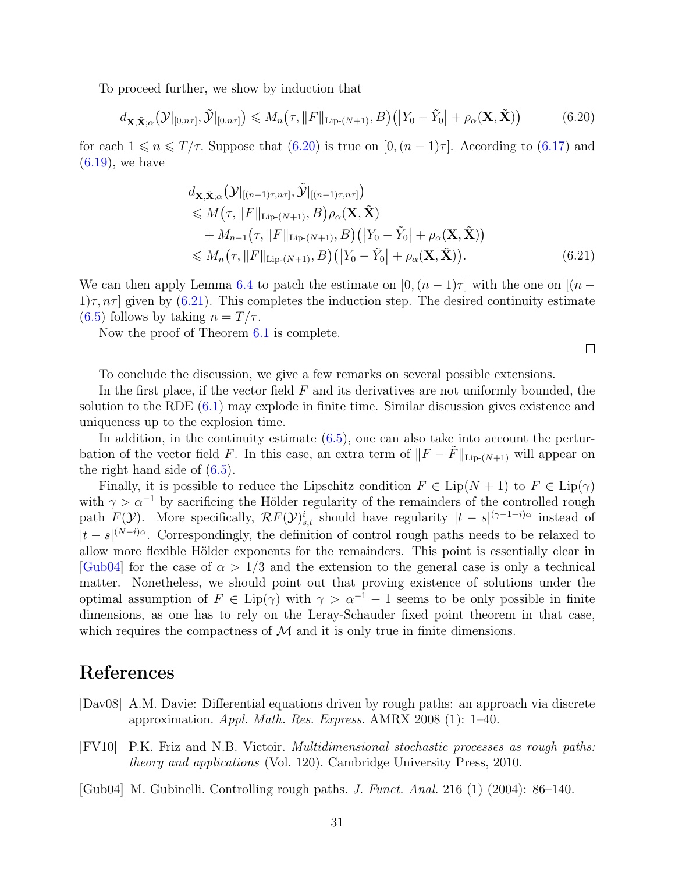To proceed further, we show by induction that

<span id="page-30-3"></span>
$$
d_{\mathbf{X}, \tilde{\mathbf{X}}; \alpha} \big(\mathcal{Y}|_{[0,n\tau]}, \tilde{\mathcal{Y}}|_{[0,n\tau]} \big) \leqslant M_n \big(\tau, \|F\|_{\text{Lip-}(N+1)}, B\big) \big( \big| Y_0 - \tilde{Y}_0 \big| + \rho_\alpha(\mathbf{X}, \tilde{\mathbf{X}}) \big) \tag{6.20}
$$

for each  $1 \le n \le T/\tau$ . Suppose that  $(6.20)$  is true on  $[0,(n-1)\tau]$ . According to  $(6.17)$  and  $(6.19)$ , we have

$$
d_{\mathbf{X}, \tilde{\mathbf{X}}; \alpha} \big(\mathcal{Y}|_{[(n-1)\tau, n\tau]}, \tilde{\mathcal{Y}}|_{[(n-1)\tau, n\tau]}\big) \n\leq M(\tau, \|F\|_{\text{Lip-}(N+1)}, B)\rho_{\alpha}(\mathbf{X}, \tilde{\mathbf{X}}) \n+ M_{n-1}(\tau, \|F\|_{\text{Lip-}(N+1)}, B) \big(|Y_0 - \tilde{Y}_0| + \rho_{\alpha}(\mathbf{X}, \tilde{\mathbf{X}})\big) \n\leq M_n(\tau, \|F\|_{\text{Lip-}(N+1)}, B) \big(|Y_0 - \tilde{Y}_0| + \rho_{\alpha}(\mathbf{X}, \tilde{\mathbf{X}})\big).
$$
\n(6.21)

We can then apply Lemma [6.4](#page-26-3) to patch the estimate on  $[0,(n-1)\tau]$  with the one on  $[(n-1)\tau]$  $1/\tau$ ,  $n\tau$  given by [\(6.21\)](#page-30-4). This completes the induction step. The desired continuity estimate  $(6.5)$  follows by taking  $n = T/\tau$ .

Now the proof of Theorem [6.1](#page-23-0) is complete.

<span id="page-30-4"></span> $\Box$ 

To conclude the discussion, we give a few remarks on several possible extensions.

In the first place, if the vector field  $F$  and its derivatives are not uniformly bounded, the solution to the RDE [\(6.1\)](#page-22-0) may explode in finite time. Similar discussion gives existence and uniqueness up to the explosion time.

In addition, in the continuity estimate  $(6.5)$ , one can also take into account the perturbation of the vector field F. In this case, an extra term of  $||F - \tilde{F}||_{\text{Lip-}(N+1)}$  will appear on the right hand side of [\(6.5\)](#page-23-5).

Finally, it is possible to reduce the Lipschitz condition  $F \in \text{Lip}(N+1)$  to  $F \in \text{Lip}(\gamma)$ with  $\gamma > \alpha^{-1}$  by sacrificing the Hölder regularity of the remainders of the controlled rough path  $F(\mathcal{Y})$ . More specifically,  $\mathcal{R}F(\mathcal{Y})_{s,t}^i$  should have regularity  $|t-s|^{(\gamma-1-i)\alpha}$  instead of  $|t-s|^{(N-i)\alpha}$ . Correspondingly, the definition of control rough paths needs to be relaxed to allow more flexible Hölder exponents for the remainders. This point is essentially clear in  $\lbrack \text{Gub04}\rbrack$  for the case of  $\alpha > 1/3$  and the extension to the general case is only a technical matter. Nonetheless, we should point out that proving existence of solutions under the optimal assumption of  $F \in Lip(\gamma)$  with  $\gamma > \alpha^{-1} - 1$  seems to be only possible in finite dimensions, as one has to rely on the Leray-Schauder fixed point theorem in that case, which requires the compactness of  $M$  and it is only true in finite dimensions.

### References

- <span id="page-30-1"></span>[Dav08] A.M. Davie: Differential equations driven by rough paths: an approach via discrete approximation. Appl. Math. Res. Express. AMRX 2008 (1):  $1-40$ .
- <span id="page-30-2"></span>[FV10] P.K. Friz and N.B. Victoir. Multidimensional stochastic processes as rough paths: theory and applications (Vol. 120). Cambridge University Press, 2010.
- <span id="page-30-0"></span>[Gub04] M. Gubinelli. Controlling rough paths. J. Funct. Anal. 216 (1) (2004): 86–140.